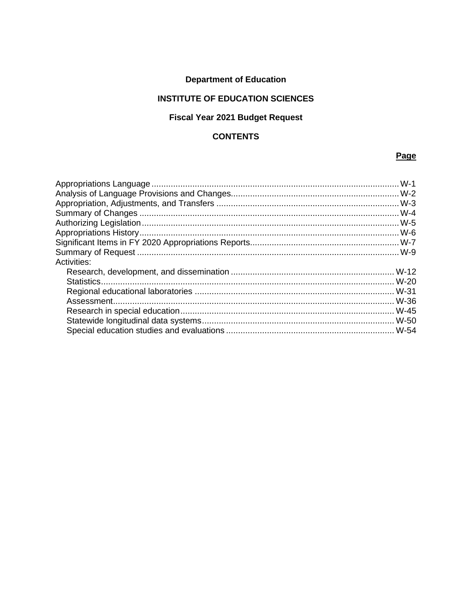### **Department of Education**

### **INSTITUTE OF EDUCATION SCIENCES**

### **Fiscal Year 2021 Budget Request**

#### **CONTENTS**

### Page

| Activities: |  |
|-------------|--|
|             |  |
|             |  |
|             |  |
|             |  |
|             |  |
|             |  |
|             |  |
|             |  |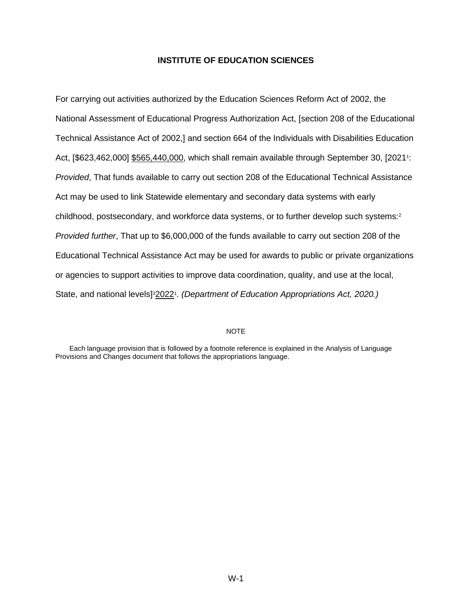<span id="page-2-0"></span>For carrying out activities authorized by the Education Sciences Reform Act of 2002, the National Assessment of Educational Progress Authorization Act, [section 208 of the Educational Technical Assistance Act of 2002,] and section 664 of the Individuals with Disabilities Education Act, [\$623,462,000] \$565,440,000, which shall remain available through September 30, [2021<sup>1</sup>[:](#page-3-1) *Provided*, That funds available to carry out section 208 of the Educational Technical Assistance Act may be used to link Statewide elementary and secondary data systems with early childhood, postsecondary, and workforce data systems, or to further develop such systems[:](#page-3-2)<sup>2</sup> *Provided further*, That up to \$6,000,000 of the funds available to carry out section 208 of the Educational Technical Assistance Act may be used for awards to public or private organizations or agencies to support activities to improve data coordination, quality, and use at the local, State, and national levels]<sup>3</sup>[2](#page-3-1)022<sup>1</sup>. (Department of Education Appropriations Act, 2020.)

#### <span id="page-2-3"></span><span id="page-2-2"></span><span id="page-2-1"></span>NOTE

Each language provision that is followed by a footnote reference is explained in the Analysis of Language Provisions and Changes document that follows the appropriations language.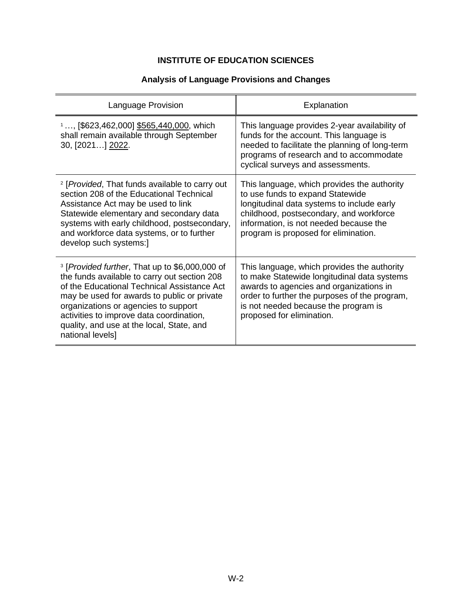### **Analysis of Language Provisions and Changes**

<span id="page-3-3"></span><span id="page-3-2"></span><span id="page-3-1"></span><span id="page-3-0"></span>

| Language Provision                                                                                                                                                                                                                                                                                                                                                    | Explanation                                                                                                                                                                                                                                                 |
|-----------------------------------------------------------------------------------------------------------------------------------------------------------------------------------------------------------------------------------------------------------------------------------------------------------------------------------------------------------------------|-------------------------------------------------------------------------------------------------------------------------------------------------------------------------------------------------------------------------------------------------------------|
| 1, [\$623,462,000] \$565,440,000, which<br>shall remain available through September<br>30, [2021] 2022.                                                                                                                                                                                                                                                               | This language provides 2-year availability of<br>funds for the account. This language is<br>needed to facilitate the planning of long-term<br>programs of research and to accommodate<br>cyclical surveys and assessments.                                  |
| <sup>2</sup> [Provided, That funds available to carry out<br>section 208 of the Educational Technical<br>Assistance Act may be used to link<br>Statewide elementary and secondary data<br>systems with early childhood, postsecondary,<br>and workforce data systems, or to further<br>develop such systems:]                                                         | This language, which provides the authority<br>to use funds to expand Statewide<br>longitudinal data systems to include early<br>childhood, postsecondary, and workforce<br>information, is not needed because the<br>program is proposed for elimination.  |
| <sup>3</sup> [ <i>Provided further</i> , That up to \$6,000,000 of<br>the funds available to carry out section 208<br>of the Educational Technical Assistance Act<br>may be used for awards to public or private<br>organizations or agencies to support<br>activities to improve data coordination,<br>quality, and use at the local, State, and<br>national levels] | This language, which provides the authority<br>to make Statewide longitudinal data systems<br>awards to agencies and organizations in<br>order to further the purposes of the program,<br>is not needed because the program is<br>proposed for elimination. |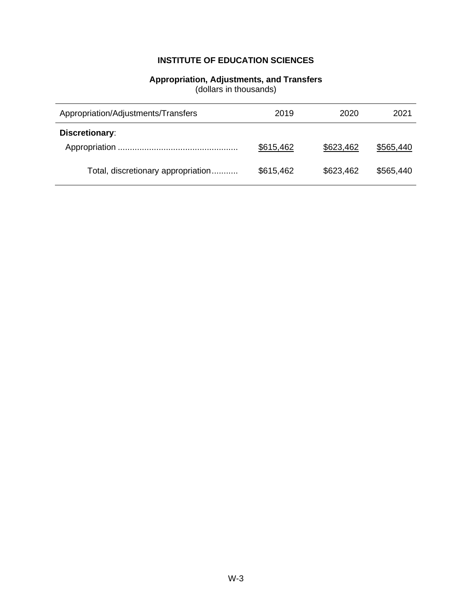# **Appropriation, Adjustments, and Transfers**

(dollars in thousands)

<span id="page-4-0"></span>

| Appropriation/Adjustments/Transfers | 2019      | 2020      | 2021      |
|-------------------------------------|-----------|-----------|-----------|
| Discretionary:                      |           |           |           |
|                                     | \$615,462 | \$623,462 | \$565,440 |
| Total, discretionary appropriation  | \$615,462 | \$623,462 | \$565,440 |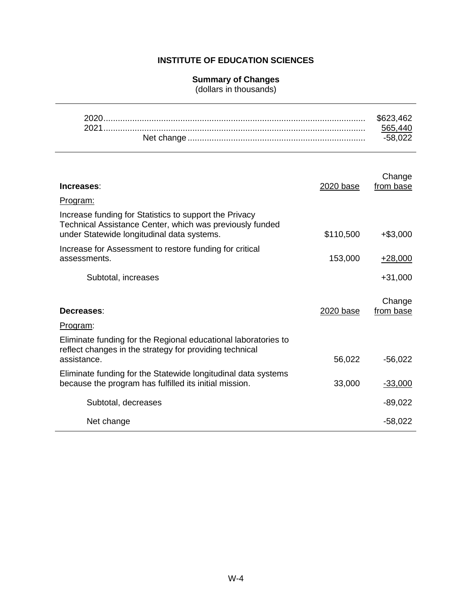#### **Summary of Changes**

(dollars in thousands)

<span id="page-5-0"></span>

| Increases:                                                                                                                                                       | 2020 base | Change<br>from base |
|------------------------------------------------------------------------------------------------------------------------------------------------------------------|-----------|---------------------|
| <u>Program:</u>                                                                                                                                                  |           |                     |
| Increase funding for Statistics to support the Privacy<br>Technical Assistance Center, which was previously funded<br>under Statewide longitudinal data systems. | \$110,500 | $+$ \$3,000         |
| Increase for Assessment to restore funding for critical<br>assessments.                                                                                          | 153,000   | $+28,000$           |
| Subtotal, increases                                                                                                                                              |           | $+31,000$           |
| Decreases:<br>Program:                                                                                                                                           | 2020 base | Change<br>from base |
| Eliminate funding for the Regional educational laboratories to<br>reflect changes in the strategy for providing technical<br>assistance.                         | 56,022    | $-56,022$           |
| Eliminate funding for the Statewide longitudinal data systems<br>because the program has fulfilled its initial mission.                                          | 33,000    | $-33,000$           |
| Subtotal, decreases                                                                                                                                              |           | $-89,022$           |
| Net change                                                                                                                                                       |           | $-58,022$           |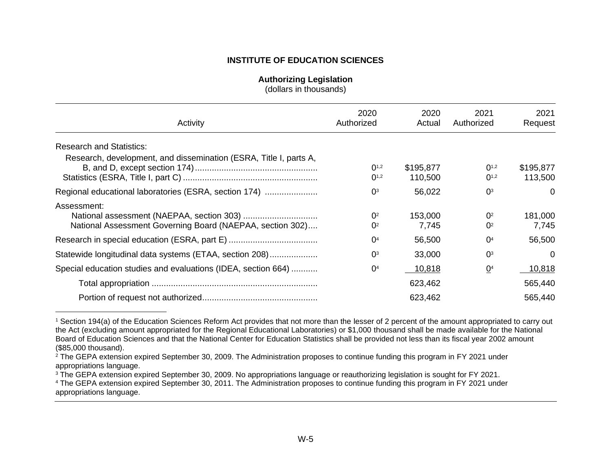#### **Authorizing Legislation**

<span id="page-6-7"></span><span id="page-6-6"></span><span id="page-6-5"></span><span id="page-6-4"></span>(dollars in thousands)

| Activity                                                                 | 2020<br>Authorized                             | 2020<br>Actual       | 2021<br>Authorized               | 2021<br>Request      |
|--------------------------------------------------------------------------|------------------------------------------------|----------------------|----------------------------------|----------------------|
| <b>Research and Statistics:</b>                                          |                                                |                      |                                  |                      |
| Research, development, and dissemination (ESRA, Title I, parts A,        | $0^{1,2}$<br>$0^{1,2}$                         | \$195,877<br>110,500 | $0^{1,2}$<br>$0^{1,2}$           | \$195,877<br>113,500 |
| Regional educational laboratories (ESRA, section 174)                    | $\Omega$ <sup>3</sup>                          | 56,022               | 0 <sup>3</sup>                   | $\Omega$             |
| Assessment:<br>National Assessment Governing Board (NAEPAA, section 302) | $\Omega$ <sup>2</sup><br>$\Omega$ <sup>2</sup> | 153,000<br>7,745     | O <sup>2</sup><br>O <sup>2</sup> | 181,000<br>7,745     |
|                                                                          | O <sup>4</sup>                                 | 56,500               | 0 <sup>4</sup>                   | 56,500               |
| Statewide longitudinal data systems (ETAA, section 208)                  | $\Omega$ <sup>3</sup>                          | 33,000               | O <sup>3</sup>                   | $\Omega$             |
| Special education studies and evaluations (IDEA, section 664)            | O <sup>4</sup>                                 | 10,818               | $\mathbf{Q}^4$                   | 10,818               |
|                                                                          |                                                | 623,462              |                                  | 565,440              |
|                                                                          |                                                | 623,462              |                                  | 565,440              |

<span id="page-6-1"></span><span id="page-6-0"></span>[<sup>1</sup>](#page-6-4) Section 194(a) of the Education Sciences Reform Act provides that not more than the lesser of 2 percent of the amount appropriated to carry out the Act (excluding amount appropriated for the Regional Educational Laboratories) or \$1,000 thousand shall be made available for the National Board of Education Sciences and that the National Center for Education Statistics shall be provided not less than its fiscal year 2002 amount (\$85,000 thousand).

<span id="page-6-2"></span> $2$  The GEPA extension expired September 30, 2009. The Administration proposes to continue funding this program in FY 2021 under appropriations language.

<span id="page-6-3"></span><sup>&</sup>lt;sup>[3](#page-6-6)</sup> The GEPA extension expired September 30, 2009. No appropriations language or reauthorizing legislation is sought for FY 2021.

[<sup>4</sup>](#page-6-7) The GEPA extension expired September 30, 2011. The Administration proposes to continue funding this program in FY 2021 under appropriations language.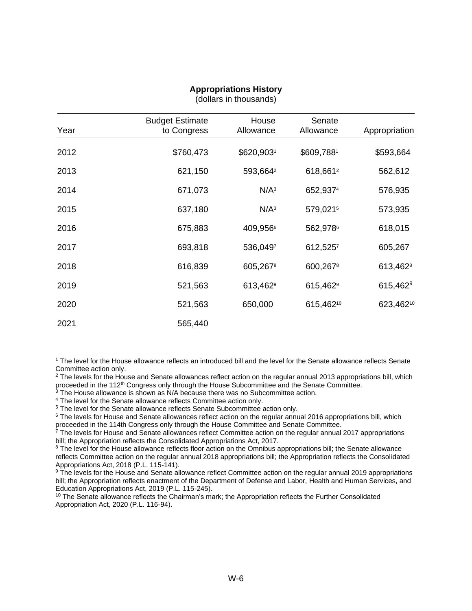<span id="page-7-0"></span>

| Year | <b>Budget Estimate</b><br>to Congress | House<br>Allowance   | Senate<br>Allowance  | Appropriation        |
|------|---------------------------------------|----------------------|----------------------|----------------------|
| 2012 | \$760,473                             | \$620,9031           | \$609,7881           | \$593,664            |
| 2013 | 621,150                               | 593,664 <sup>2</sup> | 618,6612             | 562,612              |
| 2014 | 671,073                               | N/A <sup>3</sup>     | 652,9374             | 576,935              |
| 2015 | 637,180                               | N/A <sup>3</sup>     | 579,0215             | 573,935              |
| 2016 | 675,883                               | 409,9566             | 562,9786             | 618,015              |
| 2017 | 693,818                               | 536,0497             | 612,5257             | 605,267              |
| 2018 | 616,839                               | 605,2678             | 600,2678             | 613,462 <sup>8</sup> |
| 2019 | 521,563                               | 613,462 <sup>9</sup> | 615,462 <sup>9</sup> | $615,462^9$          |
| 2020 | 521,563                               | 650,000              | 615,46210            | 623,46210            |
| 2021 | 565,440                               |                      |                      |                      |

#### **Appropriations History** (dollars in thousands)

<sup>1</sup> The level for the House allowance reflects an introduced bill and the level for the Senate allowance reflects Senate Committee action only.

 $2$  The levels for the House and Senate allowances reflect action on the regular annual 2013 appropriations bill, which proceeded in the 112<sup>th</sup> Congress only through the House Subcommittee and the Senate Committee.

 $3$  The House allowance is shown as N/A because there was no Subcommittee action.

<sup>&</sup>lt;sup>4</sup> The level for the Senate allowance reflects Committee action only.

<sup>&</sup>lt;sup>5</sup> The level for the Senate allowance reflects Senate Subcommittee action only.

<sup>&</sup>lt;sup>6</sup> The levels for House and Senate allowances reflect action on the regular annual 2016 appropriations bill, which proceeded in the 114th Congress only through the House Committee and Senate Committee.

 $7$  The levels for House and Senate allowances reflect Committee action on the regular annual 2017 appropriations bill; the Appropriation reflects the Consolidated Appropriations Act, 2017.

<sup>&</sup>lt;sup>8</sup> The level for the House allowance reflects floor action on the Omnibus appropriations bill; the Senate allowance reflects Committee action on the regular annual 2018 appropriations bill; the Appropriation reflects the Consolidated Appropriations Act, 2018 (P.L. 115-141).

<sup>&</sup>lt;sup>9</sup> The levels for the House and Senate allowance reflect Committee action on the regular annual 2019 appropriations bill; the Appropriation reflects enactment of the Department of Defense and Labor, Health and Human Services, and Education Appropriations Act, 2019 (P.L. 115-245).

<sup>&</sup>lt;sup>10</sup> The Senate allowance reflects the Chairman's mark; the Appropriation reflects the Further Consolidated Appropriation Act, 2020 (P.L. 116-94).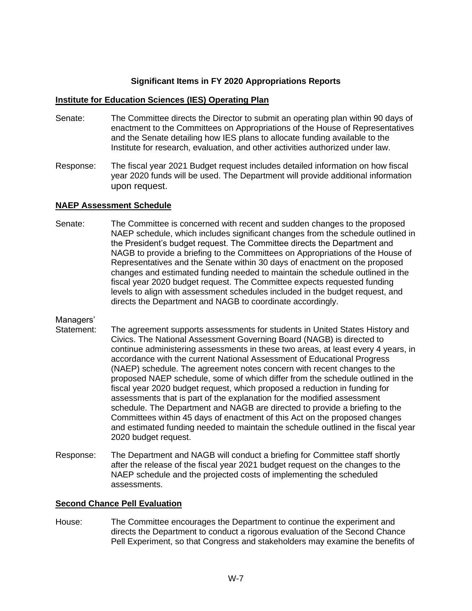#### **Significant Items in FY 2020 Appropriations Reports**

#### <span id="page-8-0"></span>**Institute for Education Sciences (IES) Operating Plan**

- Senate: The Committee directs the Director to submit an operating plan within 90 days of enactment to the Committees on Appropriations of the House of Representatives and the Senate detailing how IES plans to allocate funding available to the Institute for research, evaluation, and other activities authorized under law.
- Response: The fiscal year 2021 Budget request includes detailed information on how fiscal year 2020 funds will be used. The Department will provide additional information upon request.

#### **NAEP Assessment Schedule**

Senate: The Committee is concerned with recent and sudden changes to the proposed NAEP schedule, which includes significant changes from the schedule outlined in the President's budget request. The Committee directs the Department and NAGB to provide a briefing to the Committees on Appropriations of the House of Representatives and the Senate within 30 days of enactment on the proposed changes and estimated funding needed to maintain the schedule outlined in the fiscal year 2020 budget request. The Committee expects requested funding levels to align with assessment schedules included in the budget request, and directs the Department and NAGB to coordinate accordingly.

#### Managers'

- Statement: The agreement supports assessments for students in United States History and Civics. The National Assessment Governing Board (NAGB) is directed to continue administering assessments in these two areas, at least every 4 years, in accordance with the current National Assessment of Educational Progress (NAEP) schedule. The agreement notes concern with recent changes to the proposed NAEP schedule, some of which differ from the schedule outlined in the fiscal year 2020 budget request, which proposed a reduction in funding for assessments that is part of the explanation for the modified assessment schedule. The Department and NAGB are directed to provide a briefing to the Committees within 45 days of enactment of this Act on the proposed changes and estimated funding needed to maintain the schedule outlined in the fiscal year 2020 budget request.
- Response: The Department and NAGB will conduct a briefing for Committee staff shortly after the release of the fiscal year 2021 budget request on the changes to the NAEP schedule and the projected costs of implementing the scheduled assessments.

#### **Second Chance Pell Evaluation**

House: The Committee encourages the Department to continue the experiment and directs the Department to conduct a rigorous evaluation of the Second Chance Pell Experiment, so that Congress and stakeholders may examine the benefits of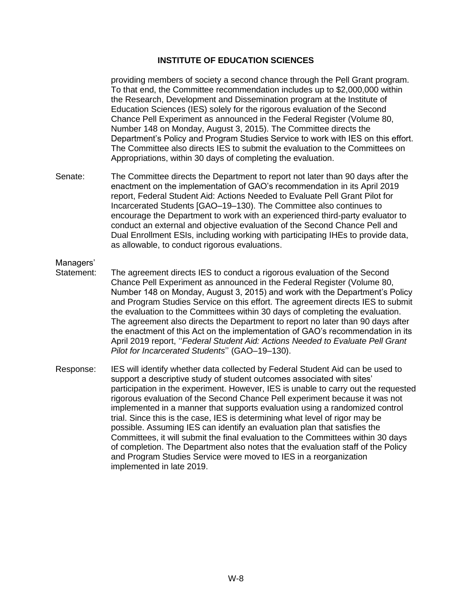providing members of society a second chance through the Pell Grant program. To that end, the Committee recommendation includes up to \$2,000,000 within the Research, Development and Dissemination program at the Institute of Education Sciences (IES) solely for the rigorous evaluation of the Second Chance Pell Experiment as announced in the Federal Register (Volume 80, Number 148 on Monday, August 3, 2015). The Committee directs the Department's Policy and Program Studies Service to work with IES on this effort. The Committee also directs IES to submit the evaluation to the Committees on Appropriations, within 30 days of completing the evaluation.

Senate: The Committee directs the Department to report not later than 90 days after the enactment on the implementation of GAO's recommendation in its April 2019 report, Federal Student Aid: Actions Needed to Evaluate Pell Grant Pilot for Incarcerated Students [GAO–19–130). The Committee also continues to encourage the Department to work with an experienced third-party evaluator to conduct an external and objective evaluation of the Second Chance Pell and Dual Enrollment ESIs, including working with participating IHEs to provide data, as allowable, to conduct rigorous evaluations.

# Managers'<br>Statement:

- The agreement directs IES to conduct a rigorous evaluation of the Second Chance Pell Experiment as announced in the Federal Register (Volume 80, Number 148 on Monday, August 3, 2015) and work with the Department's Policy and Program Studies Service on this effort. The agreement directs IES to submit the evaluation to the Committees within 30 days of completing the evaluation. The agreement also directs the Department to report no later than 90 days after the enactment of this Act on the implementation of GAO's recommendation in its April 2019 report, ''*Federal Student Aid: Actions Needed to Evaluate Pell Grant Pilot for Incarcerated Students*'' (GAO–19–130).
- Response: IES will identify whether data collected by Federal Student Aid can be used to support a descriptive study of student outcomes associated with sites' participation in the experiment. However, IES is unable to carry out the requested rigorous evaluation of the Second Chance Pell experiment because it was not implemented in a manner that supports evaluation using a randomized control trial. Since this is the case, IES is determining what level of rigor may be possible. Assuming IES can identify an evaluation plan that satisfies the Committees, it will submit the final evaluation to the Committees within 30 days of completion. The Department also notes that the evaluation staff of the Policy and Program Studies Service were moved to IES in a reorganization implemented in late 2019.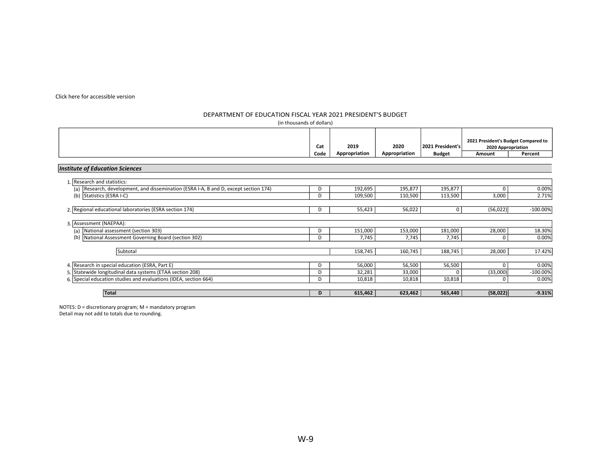#### [Click here for accessible version](http://www2.ed.gov/about/overview/budget/budget21/justifications/w-ies508.xlsx)

#### DEPARTMENT OF EDUCATION FISCAL YEAR 2021 PRESIDENT'S BUDGET

| (in thousands of dollars)                                                               |      |               |               |                  |                                                           |            |
|-----------------------------------------------------------------------------------------|------|---------------|---------------|------------------|-----------------------------------------------------------|------------|
|                                                                                         | Cat  | 2019          | 2020          | 2021 President's | 2021 President's Budget Compared to<br>2020 Appropriation |            |
|                                                                                         | Code | Appropriation | Appropriation | <b>Budget</b>    | Amount                                                    | Percent    |
| Institute of Education Sciences                                                         |      |               |               |                  |                                                           |            |
| 1. Research and statistics:                                                             |      |               |               |                  |                                                           |            |
| Research, development, and dissemination (ESRA I-A, B and D, except section 174)<br>(a) | D    | 192,695       | 195,877       | 195,877          | 0                                                         | 0.00%      |
| Statistics (ESRA I-C)<br>(b)                                                            | D    | 109,500       | 110,500       | 113,500          | 3,000                                                     | 2.71%      |
| 2. Regional educational laboratories (ESRA section 174)                                 | D    | 55,423        | 56,022        | $\mathbf 0$      | (56, 022)                                                 | $-100.00%$ |
| 3. Assessment (NAEPAA):                                                                 |      |               |               |                  |                                                           |            |
| National assessment (section 303)<br>(a)                                                | D    | 151,000       | 153,000       | 181,000          | 28,000                                                    | 18.30%     |
| National Assessment Governing Board (section 302)<br>(b)                                | D    | 7,745         | 7,745         | 7,745            | 0                                                         | 0.00%      |
| Subtotal                                                                                |      | 158,745       | 160,745       | 188,745          | 28,000                                                    | 17.42%     |
| 4. Research in special education (ESRA, Part E)                                         | D    | 56,000        | 56,500        | 56,500           | 0                                                         | 0.00%      |
| 5. Statewide longitudinal data systems (ETAA section 208)                               | D    | 32,281        | 33,000        | $\Omega$         | (33,000)                                                  | $-100.00%$ |
| 6. Special education studies and evaluations (IDEA, section 664)                        | D    | 10,818        | 10,818        | 10,818           | 0                                                         | 0.00%      |
| <b>Total</b>                                                                            | D    | 615,462       | 623,462       | 565,440          | (58,022)                                                  | $-9.31%$   |

<span id="page-10-0"></span>NOTES: D = discretionary program; M = mandatory program Detail may not add to totals due to rounding.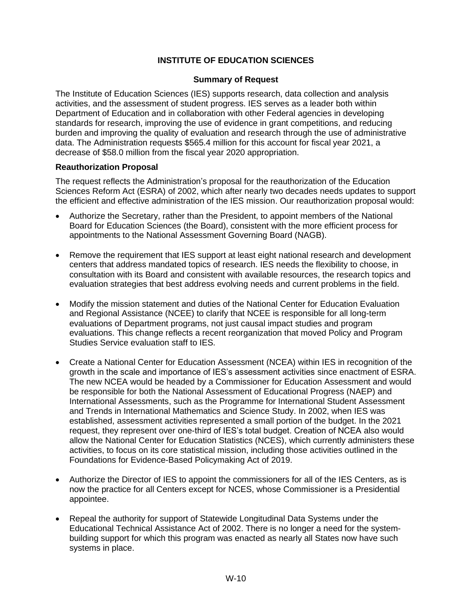#### **Summary of Request**

The Institute of Education Sciences (IES) supports research, data collection and analysis activities, and the assessment of student progress. IES serves as a leader both within Department of Education and in collaboration with other Federal agencies in developing standards for research, improving the use of evidence in grant competitions, and reducing burden and improving the quality of evaluation and research through the use of administrative data. The Administration requests \$565.4 million for this account for fiscal year 2021, a decrease of \$58.0 million from the fiscal year 2020 appropriation.

#### **Reauthorization Proposal**

The request reflects the Administration's proposal for the reauthorization of the Education Sciences Reform Act (ESRA) of 2002, which after nearly two decades needs updates to support the efficient and effective administration of the IES mission. Our reauthorization proposal would:

- Authorize the Secretary, rather than the President, to appoint members of the National Board for Education Sciences (the Board), consistent with the more efficient process for appointments to the National Assessment Governing Board (NAGB).
- Remove the requirement that IES support at least eight national research and development centers that address mandated topics of research. IES needs the flexibility to choose, in consultation with its Board and consistent with available resources, the research topics and evaluation strategies that best address evolving needs and current problems in the field.
- Modify the mission statement and duties of the National Center for Education Evaluation and Regional Assistance (NCEE) to clarify that NCEE is responsible for all long-term evaluations of Department programs, not just causal impact studies and program evaluations. This change reflects a recent reorganization that moved Policy and Program Studies Service evaluation staff to IES.
- Create a National Center for Education Assessment (NCEA) within IES in recognition of the growth in the scale and importance of IES's assessment activities since enactment of ESRA. The new NCEA would be headed by a Commissioner for Education Assessment and would be responsible for both the National Assessment of Educational Progress (NAEP) and International Assessments, such as the Programme for International Student Assessment and Trends in International Mathematics and Science Study. In 2002, when IES was established, assessment activities represented a small portion of the budget. In the 2021 request, they represent over one-third of IES's total budget. Creation of NCEA also would allow the National Center for Education Statistics (NCES), which currently administers these activities, to focus on its core statistical mission, including those activities outlined in the Foundations for Evidence-Based Policymaking Act of 2019.
- Authorize the Director of IES to appoint the commissioners for all of the IES Centers, as is now the practice for all Centers except for NCES, whose Commissioner is a Presidential appointee.
- Repeal the authority for support of Statewide Longitudinal Data Systems under the Educational Technical Assistance Act of 2002. There is no longer a need for the systembuilding support for which this program was enacted as nearly all States now have such systems in place.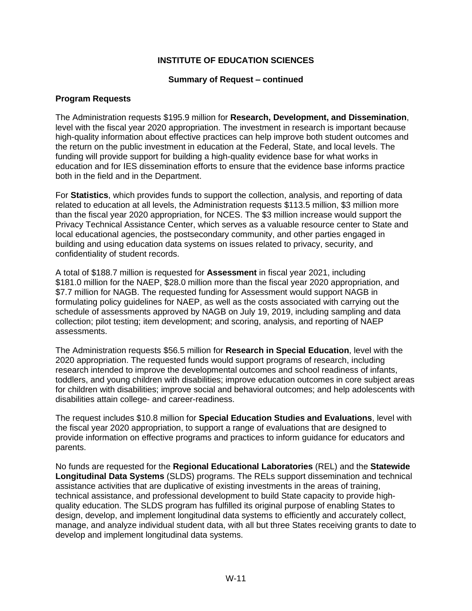#### **Summary of Request – continued**

#### **Program Requests**

The Administration requests \$195.9 million for **Research, Development, and Dissemination**, level with the fiscal year 2020 appropriation. The investment in research is important because high-quality information about effective practices can help improve both student outcomes and the return on the public investment in education at the Federal, State, and local levels. The funding will provide support for building a high-quality evidence base for what works in education and for IES dissemination efforts to ensure that the evidence base informs practice both in the field and in the Department.

For **Statistics**, which provides funds to support the collection, analysis, and reporting of data related to education at all levels, the Administration requests \$113.5 million, \$3 million more than the fiscal year 2020 appropriation, for NCES. The \$3 million increase would support the Privacy Technical Assistance Center, which serves as a valuable resource center to State and local educational agencies, the postsecondary community, and other parties engaged in building and using education data systems on issues related to privacy, security, and confidentiality of student records.

A total of \$188.7 million is requested for **Assessment** in fiscal year 2021, including \$181.0 million for the NAEP, \$28.0 million more than the fiscal year 2020 appropriation, and \$7.7 million for NAGB. The requested funding for Assessment would support NAGB in formulating policy guidelines for NAEP, as well as the costs associated with carrying out the schedule of assessments approved by NAGB on July 19, 2019, including sampling and data collection; pilot testing; item development; and scoring, analysis, and reporting of NAEP assessments.

The Administration requests \$56.5 million for **Research in Special Education**, level with the 2020 appropriation. The requested funds would support programs of research, including research intended to improve the developmental outcomes and school readiness of infants, toddlers, and young children with disabilities; improve education outcomes in core subject areas for children with disabilities; improve social and behavioral outcomes; and help adolescents with disabilities attain college- and career-readiness.

The request includes \$10.8 million for **Special Education Studies and Evaluations**, level with the fiscal year 2020 appropriation, to support a range of evaluations that are designed to provide information on effective programs and practices to inform guidance for educators and parents.

No funds are requested for the **Regional Educational Laboratories** (REL) and the **Statewide Longitudinal Data Systems** (SLDS) programs. The RELs support dissemination and technical assistance activities that are duplicative of existing investments in the areas of training, technical assistance, and professional development to build State capacity to provide highquality education. The SLDS program has fulfilled its original purpose of enabling States to design, develop, and implement longitudinal data systems to efficiently and accurately collect, manage, and analyze individual student data, with all but three States receiving grants to date to develop and implement longitudinal data systems.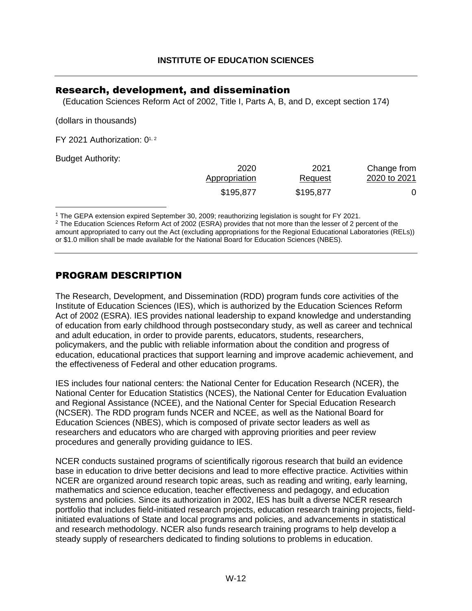### <span id="page-13-0"></span>Research, development, and dissemination

(Education Sciences Reform Act of 2002, Title I, Parts A, B, and D, except section 174)

(dollars in thousands)

FY [2](#page-13-2)021 Authorization:  $0^{1,2}$  $0^{1,2}$  $0^{1,2}$ 

Budget Authority:

<span id="page-13-4"></span><span id="page-13-3"></span>

| 2020          | 2021      | Change from  |
|---------------|-----------|--------------|
| Appropriation | Request   | 2020 to 2021 |
| \$195,877     | \$195,877 |              |

<span id="page-13-1"></span>[1](#page-13-3) The GEPA extension expired September 30, 2009; reauthorizing legislation is sought for FY 2021.

<span id="page-13-2"></span><sup>[2](#page-13-4)</sup> The Education Sciences Reform Act of 2002 (ESRA) provides that not more than the lesser of 2 percent of the amount appropriated to carry out the Act (excluding appropriations for the Regional Educational Laboratories (RELs)) or \$1.0 million shall be made available for the National Board for Education Sciences (NBES).

### PROGRAM DESCRIPTION

The Research, Development, and Dissemination (RDD) program funds core activities of the Institute of Education Sciences (IES), which is authorized by the Education Sciences Reform Act of 2002 (ESRA). IES provides national leadership to expand knowledge and understanding of education from early childhood through postsecondary study, as well as career and technical and adult education, in order to provide parents, educators, students, researchers, policymakers, and the public with reliable information about the condition and progress of education, educational practices that support learning and improve academic achievement, and the effectiveness of Federal and other education programs.

IES includes four national centers: the National Center for Education Research (NCER), the National Center for Education Statistics (NCES), the National Center for Education Evaluation and Regional Assistance (NCEE), and the National Center for Special Education Research (NCSER). The RDD program funds NCER and NCEE, as well as the National Board for Education Sciences (NBES), which is composed of private sector leaders as well as researchers and educators who are charged with approving priorities and peer review procedures and generally providing guidance to IES.

NCER conducts sustained programs of scientifically rigorous research that build an evidence base in education to drive better decisions and lead to more effective practice. Activities within NCER are organized around research topic areas, such as reading and writing, early learning, mathematics and science education, teacher effectiveness and pedagogy, and education systems and policies. Since its authorization in 2002, IES has built a diverse NCER research portfolio that includes field-initiated research projects, education research training projects, fieldinitiated evaluations of State and local programs and policies, and advancements in statistical and research methodology. NCER also funds research training programs to help develop a steady supply of researchers dedicated to finding solutions to problems in education.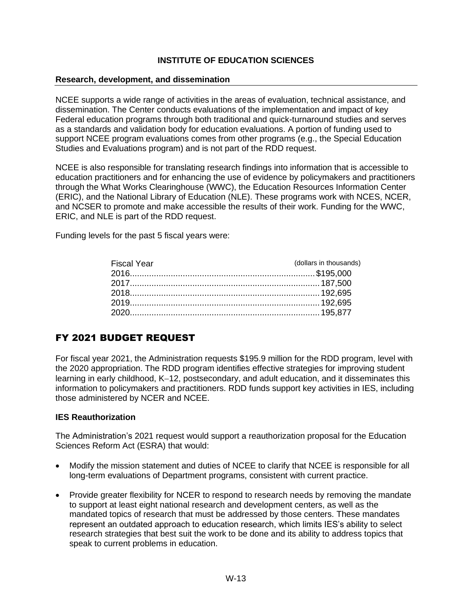#### **Research, development, and dissemination**

NCEE supports a wide range of activities in the areas of evaluation, technical assistance, and dissemination. The Center conducts evaluations of the implementation and impact of key Federal education programs through both traditional and quick-turnaround studies and serves as a standards and validation body for education evaluations. A portion of funding used to support NCEE program evaluations comes from other programs (e.g., the Special Education Studies and Evaluations program) and is not part of the RDD request.

NCEE is also responsible for translating research findings into information that is accessible to education practitioners and for enhancing the use of evidence by policymakers and practitioners through the What Works Clearinghouse (WWC), the Education Resources Information Center (ERIC), and the National Library of Education (NLE). These programs work with NCES, NCER, and NCSER to promote and make accessible the results of their work. Funding for the WWC, ERIC, and NLE is part of the RDD request.

Funding levels for the past 5 fiscal years were:

| (dollars in thousands) |
|------------------------|
|                        |
|                        |
|                        |
|                        |
|                        |
|                        |

# FY 2021 BUDGET REQUEST

For fiscal year 2021, the Administration requests \$195.9 million for the RDD program, level with the 2020 appropriation. The RDD program identifies effective strategies for improving student learning in early childhood, K−12, postsecondary, and adult education, and it disseminates this information to policymakers and practitioners. RDD funds support key activities in IES, including those administered by NCER and NCEE.

#### **IES Reauthorization**

The Administration's 2021 request would support a reauthorization proposal for the Education Sciences Reform Act (ESRA) that would:

- Modify the mission statement and duties of NCEE to clarify that NCEE is responsible for all long-term evaluations of Department programs, consistent with current practice.
- Provide greater flexibility for NCER to respond to research needs by removing the mandate to support at least eight national research and development centers, as well as the mandated topics of research that must be addressed by those centers. These mandates represent an outdated approach to education research, which limits IES's ability to select research strategies that best suit the work to be done and its ability to address topics that speak to current problems in education.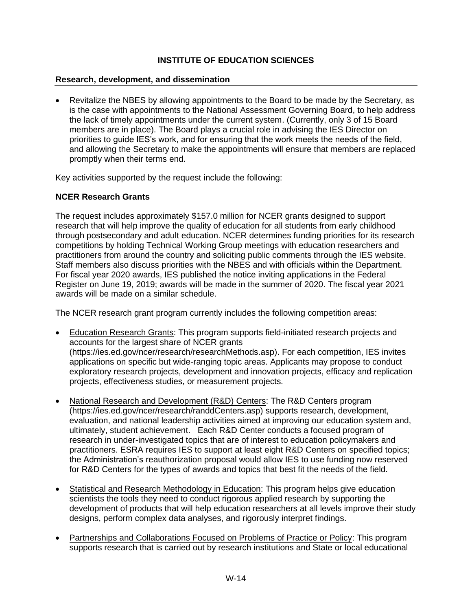#### **Research, development, and dissemination**

• Revitalize the NBES by allowing appointments to the Board to be made by the Secretary, as is the case with appointments to the National Assessment Governing Board, to help address the lack of timely appointments under the current system. (Currently, only 3 of 15 Board members are in place). The Board plays a crucial role in advising the IES Director on priorities to guide IES's work, and for ensuring that the work meets the needs of the field, and allowing the Secretary to make the appointments will ensure that members are replaced promptly when their terms end.

Key activities supported by the request include the following:

#### **NCER Research Grants**

The request includes approximately \$157.0 million for NCER grants designed to support research that will help improve the quality of education for all students from early childhood through postsecondary and adult education. NCER determines funding priorities for its research competitions by holding Technical Working Group meetings with education researchers and practitioners from around the country and soliciting public comments through the IES website. Staff members also discuss priorities with the NBES and with officials within the Department. For fiscal year 2020 awards, IES published the notice inviting applications in the Federal Register on June 19, 2019; awards will be made in the summer of 2020. The fiscal year 2021 awards will be made on a similar schedule.

The NCER research grant program currently includes the following competition areas:

- Education Research Grants: This program supports field-initiated research projects and accounts for the largest share of NCER grants [\(https://ies.ed.gov/ncer/research/researchMethods.asp\)](https://ies.ed.gov/ncer/research/researchMethods.asp). For each competition, IES invites applications on specific but wide-ranging topic areas. Applicants may propose to conduct exploratory research projects, development and innovation projects, efficacy and replication projects, effectiveness studies, or measurement projects.
- National Research and Development (R&D) Centers: The R&D Centers program [\(https://ies.ed.gov/ncer/research/randdCenters.asp\)](https://ies.ed.gov/ncer/research/randdCenters.asp) supports research, development, evaluation, and national leadership activities aimed at improving our education system and, ultimately, student achievement. Each R&D Center conducts a focused program of research in under-investigated topics that are of interest to education policymakers and practitioners. ESRA requires IES to support at least eight R&D Centers on specified topics; the Administration's reauthorization proposal would allow IES to use funding now reserved for R&D Centers for the types of awards and topics that best fit the needs of the field.
- Statistical and Research Methodology in Education: This program helps give education scientists the tools they need to conduct rigorous applied research by supporting the development of products that will help education researchers at all levels improve their study designs, perform complex data analyses, and rigorously interpret findings.
- Partnerships and Collaborations Focused on Problems of Practice or Policy: This program supports research that is carried out by research institutions and State or local educational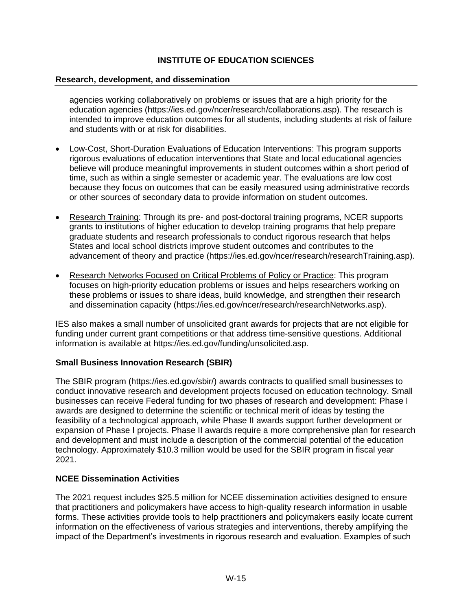#### **Research, development, and dissemination**

agencies working collaboratively on problems or issues that are a high priority for the education agencies (https://ies.ed.gov/ncer/research/collaborations.asp). The research is intended to improve education outcomes for all students, including students at risk of failure and students with or at risk for disabilities.

- Low-Cost, Short-Duration Evaluations of Education Interventions: This program supports rigorous evaluations of education interventions that State and local educational agencies believe will produce meaningful improvements in student outcomes within a short period of time, such as within a single semester or academic year. The evaluations are low cost because they focus on outcomes that can be easily measured using administrative records or other sources of secondary data to provide information on student outcomes.
- Research Training: Through its pre- and post-doctoral training programs, NCER supports grants to institutions of higher education to develop training programs that help prepare graduate students and research professionals to conduct rigorous research that helps States and local school districts improve student outcomes and contributes to the advancement of theory and practice [\(https://ies.ed.gov/ncer/research/researchTraining.asp\)](https://ies.ed.gov/ncer/research/researchTraining.asp).
- Research Networks Focused on Critical Problems of Policy or Practice: This program focuses on high-priority education problems or issues and helps researchers working on these problems or issues to share ideas, build knowledge, and strengthen their research and dissemination capacity [\(https://ies.ed.gov/ncer/research/researchNetworks.asp\)](https://ies.ed.gov/ncer/research/researchNetworks.asp).

IES also makes a small number of unsolicited grant awards for projects that are not eligible for funding under current grant competitions or that address time-sensitive questions. Additional information is available at [https://ies.ed.gov/funding/unsolicited.asp.](https://ies.ed.gov/funding/unsolicited.asp)

#### **Small Business Innovation Research (SBIR)**

The SBIR program [\(https://ies.ed.gov/sbir/\)](https://ies.ed.gov/sbir/) awards contracts to qualified small businesses to conduct innovative research and development projects focused on education technology. Small businesses can receive Federal funding for two phases of research and development: Phase I awards are designed to determine the scientific or technical merit of ideas by testing the feasibility of a technological approach, while Phase II awards support further development or expansion of Phase I projects. Phase II awards require a more comprehensive plan for research and development and must include a description of the commercial potential of the education technology. Approximately \$10.3 million would be used for the SBIR program in fiscal year 2021.

#### **NCEE Dissemination Activities**

The 2021 request includes \$25.5 million for NCEE dissemination activities designed to ensure that practitioners and policymakers have access to high-quality research information in usable forms. These activities provide tools to help practitioners and policymakers easily locate current information on the effectiveness of various strategies and interventions, thereby amplifying the impact of the Department's investments in rigorous research and evaluation. Examples of such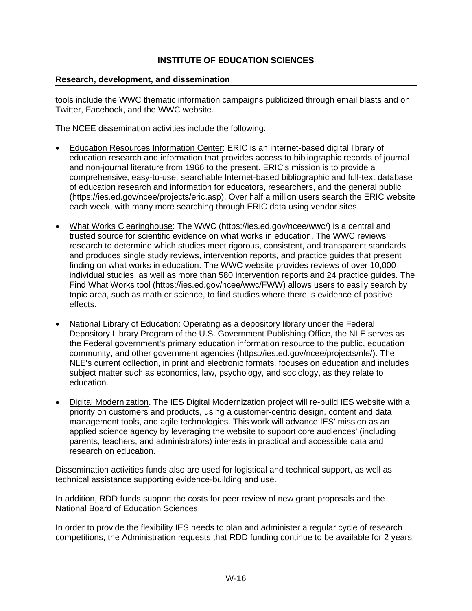#### **Research, development, and dissemination**

tools include the WWC thematic information campaigns publicized through email blasts and on Twitter, Facebook, and the WWC website.

The NCEE dissemination activities include the following:

- Education Resources Information Center: ERIC is an internet-based digital library of education research and information that provides access to bibliographic records of journal and non-journal literature from 1966 to the present. ERIC's mission is to provide a comprehensive, easy-to-use, searchable Internet-based bibliographic and full-text database of education research and information for educators, researchers, and the general public [\(https://ies.ed.gov/ncee/projects/eric.asp\)](https://ies.ed.gov/ncee/projects/eric.asp). Over half a million users search the ERIC website each week, with many more searching through ERIC data using vendor sites.
- What Works Clearinghouse: The WWC [\(https://ies.ed.gov/ncee/wwc/\)](https://ies.ed.gov/ncee/wwc/) is a central and trusted source for scientific evidence on what works in education. The WWC reviews research to determine which studies meet rigorous, consistent, and transparent standards and produces single study reviews, intervention reports, and practice guides that present finding on what works in education. The WWC website provides reviews of over 10,000 individual studies, as well as more than 580 intervention reports and 24 practice guides. The Find What Works tool [\(https://ies.ed.gov/ncee/wwc/FWW\)](https://ies.ed.gov/ncee/wwc/FWW) allows users to easily search by topic area, such as math or science, to find studies where there is evidence of positive effects.
- National Library of Education: Operating as a depository library under the Federal Depository Library Program of the U.S. Government Publishing Office, the NLE serves as the Federal government's primary education information resource to the public, education community, and other government agencies (https://ies.ed.gov/ncee/projects/nle/). The NLE's current collection, in print and electronic formats, focuses on education and includes subject matter such as economics, law, psychology, and sociology, as they relate to education.
- Digital Modernization. The IES Digital Modernization project will re-build IES website with a priority on customers and products, using a customer-centric design, content and data management tools, and agile technologies. This work will advance IES' mission as an applied science agency by leveraging the website to support core audiences' (including parents, teachers, and administrators) interests in practical and accessible data and research on education.

Dissemination activities funds also are used for logistical and technical support, as well as technical assistance supporting evidence-building and use.

In addition, RDD funds support the costs for peer review of new grant proposals and the National Board of Education Sciences.

In order to provide the flexibility IES needs to plan and administer a regular cycle of research competitions, the Administration requests that RDD funding continue to be available for 2 years.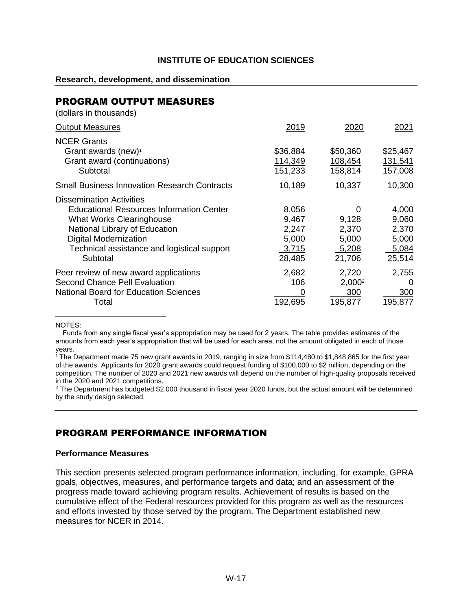#### **Research, development, and dissemination**

# PROGRAM OUTPUT MEASURES

(dollars in thousands)

<span id="page-18-2"></span>

| <b>Output Measures</b>                                                                                                                                                                                                                            | 2019                                                | 2020                                            | 2021                                                |
|---------------------------------------------------------------------------------------------------------------------------------------------------------------------------------------------------------------------------------------------------|-----------------------------------------------------|-------------------------------------------------|-----------------------------------------------------|
| <b>NCER Grants</b><br>Grant awards (new) <sup>1</sup><br>Grant award (continuations)<br>Subtotal                                                                                                                                                  | \$36,884<br>114,349<br>151,233                      | \$50,360<br>108,454<br>158,814                  | \$25,467<br>131,541<br>157,008                      |
| <b>Small Business Innovation Research Contracts</b>                                                                                                                                                                                               | 10,189                                              | 10,337                                          | 10,300                                              |
| <b>Dissemination Activities</b><br><b>Educational Resources Information Center</b><br><b>What Works Clearinghouse</b><br>National Library of Education<br><b>Digital Modernization</b><br>Technical assistance and logistical support<br>Subtotal | 8,056<br>9,467<br>2,247<br>5,000<br>3,715<br>28,485 | 0<br>9,128<br>2,370<br>5,000<br>5,208<br>21,706 | 4,000<br>9,060<br>2,370<br>5,000<br>5,084<br>25,514 |
| Peer review of new award applications<br><b>Second Chance Pell Evaluation</b><br><b>National Board for Education Sciences</b><br>Total                                                                                                            | 2,682<br>106<br>$\Omega$<br>192,695                 | 2,720<br>2,000 <sup>2</sup><br>300<br>195,877   | 2,755<br>0<br>300<br>195,877                        |

<span id="page-18-3"></span>NOTES:

Funds from any single fiscal year's appropriation may be used for 2 years. The table provides estimates of the amounts from each year's appropriation that will be used for each area, not the amount obligated in each of those years.

<span id="page-18-0"></span><sup>[1](#page-18-2)</sup> The Department made 75 new grant awards in 2019, ranging in size from \$114,480 to \$1,848,865 for the first year of the awards. Applicants for 2020 grant awards could request funding of \$100,000 to \$2 million, depending on the competition. The number of 2020 and 2021 new awards will depend on the number of high-quality proposals received in the 2020 and 2021 competitions.

<span id="page-18-1"></span><sup>[2](#page-18-3)</sup> The Department has budgeted \$2,000 thousand in fiscal year 2020 funds, but the actual amount will be determined by the study design selected.

### PROGRAM PERFORMANCE INFORMATION

#### **Performance Measures**

This section presents selected program performance information, including, for example, GPRA goals, objectives, measures, and performance targets and data; and an assessment of the progress made toward achieving program results. Achievement of results is based on the cumulative effect of the Federal resources provided for this program as well as the resources and efforts invested by those served by the program. The Department established new measures for NCER in 2014.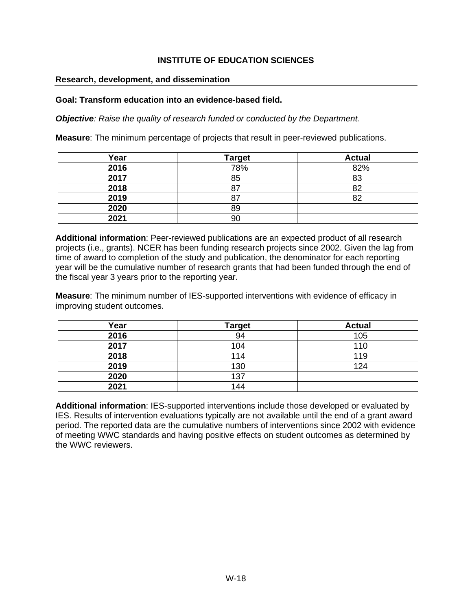#### **Research, development, and dissemination**

#### **Goal: Transform education into an evidence-based field.**

*Objective: Raise the quality of research funded or conducted by the Department.*

**Measure**: The minimum percentage of projects that result in peer-reviewed publications.

| Year | <b>Target</b> | <b>Actual</b> |
|------|---------------|---------------|
| 2016 | 78%           | 82%           |
| 2017 | 85            | 83            |
| 2018 | 87            | 82            |
| 2019 | 87            | 82            |
| 2020 | 89            |               |
| 2021 | 90            |               |

**Additional information**: Peer-reviewed publications are an expected product of all research projects (i.e., grants). NCER has been funding research projects since 2002. Given the lag from time of award to completion of the study and publication, the denominator for each reporting year will be the cumulative number of research grants that had been funded through the end of the fiscal year 3 years prior to the reporting year.

**Measure**: The minimum number of IES-supported interventions with evidence of efficacy in improving student outcomes.

| Year | <b>Target</b> | <b>Actual</b> |
|------|---------------|---------------|
| 2016 | 94            | 105           |
| 2017 | 104           | 110           |
| 2018 | 14            | 119           |
| 2019 | 130           | 124           |
| 2020 | 137           |               |
| 2021 | 144           |               |

**Additional information**: IES-supported interventions include those developed or evaluated by IES. Results of intervention evaluations typically are not available until the end of a grant award period. The reported data are the cumulative numbers of interventions since 2002 with evidence of meeting WWC standards and having positive effects on student outcomes as determined by the WWC reviewers.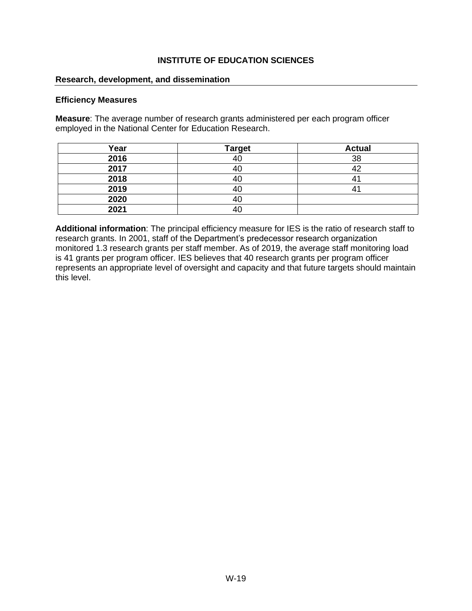#### **Research, development, and dissemination**

#### **Efficiency Measures**

**Measure**: The average number of research grants administered per each program officer employed in the National Center for Education Research.

| Year | <b>Target</b> | <b>Actual</b> |
|------|---------------|---------------|
| 2016 |               | 38            |
| 2017 |               |               |
| 2018 |               |               |
| 2019 |               |               |
| 2020 |               |               |
| 2021 |               |               |

**Additional information**: The principal efficiency measure for IES is the ratio of research staff to research grants. In 2001, staff of the Department's predecessor research organization monitored 1.3 research grants per staff member. As of 2019, the average staff monitoring load is 41 grants per program officer. IES believes that 40 research grants per program officer represents an appropriate level of oversight and capacity and that future targets should maintain this level.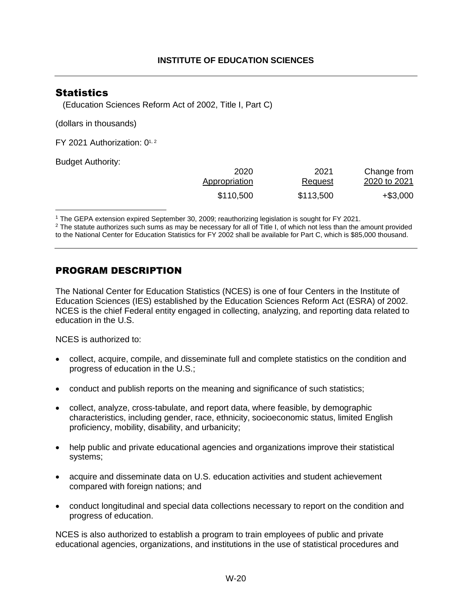### <span id="page-21-0"></span>**Statistics**

(Education Sciences Reform Act of 2002, Title I, Part C)

(dollars in thousands)

FY [2](#page-21-2)021 Authorization:  $0^{1,2}$  $0^{1,2}$  $0^{1,2}$ 

Budget Authority:

<span id="page-21-4"></span><span id="page-21-3"></span>

| Change from  | 2021           | 2020          |
|--------------|----------------|---------------|
| 2020 to 2021 | <b>Request</b> | Appropriation |
| $+$ \$3,000  | \$113,500      | \$110,500     |

<span id="page-21-1"></span>[1](#page-21-3) The GEPA extension expired September 30, 2009; reauthorizing legislation is sought for FY 2021.

<span id="page-21-2"></span> $2$  The statute authorizes such sums as may be necessary for all of Title I, of which not less than the amount provided to the National Center for Education Statistics for FY 2002 shall be available for Part C, which is \$85,000 thousand.

### PROGRAM DESCRIPTION

The National Center for Education Statistics (NCES) is one of four Centers in the Institute of Education Sciences (IES) established by the Education Sciences Reform Act (ESRA) of 2002. NCES is the chief Federal entity engaged in collecting, analyzing, and reporting data related to education in the U.S.

NCES is authorized to:

- collect, acquire, compile, and disseminate full and complete statistics on the condition and progress of education in the U.S.;
- conduct and publish reports on the meaning and significance of such statistics;
- collect, analyze, cross-tabulate, and report data, where feasible, by demographic characteristics, including gender, race, ethnicity, socioeconomic status, limited English proficiency, mobility, disability, and urbanicity;
- help public and private educational agencies and organizations improve their statistical systems;
- acquire and disseminate data on U.S. education activities and student achievement compared with foreign nations; and
- conduct longitudinal and special data collections necessary to report on the condition and progress of education.

NCES is also authorized to establish a program to train employees of public and private educational agencies, organizations, and institutions in the use of statistical procedures and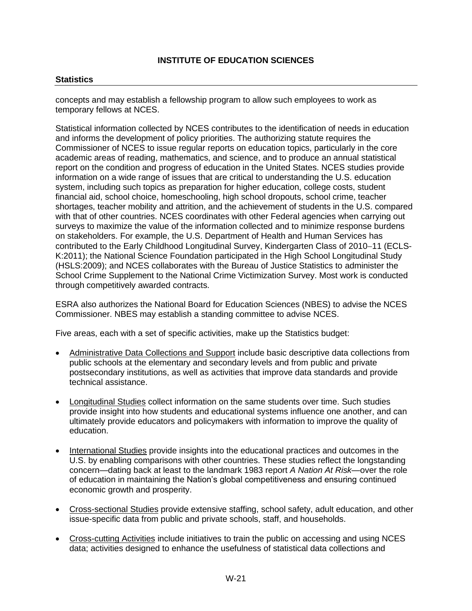#### **Statistics**

concepts and may establish a fellowship program to allow such employees to work as temporary fellows at NCES.

Statistical information collected by NCES contributes to the identification of needs in education and informs the development of policy priorities. The authorizing statute requires the Commissioner of NCES to issue regular reports on education topics, particularly in the core academic areas of reading, mathematics, and science, and to produce an annual statistical report on the condition and progress of education in the United States. NCES studies provide information on a wide range of issues that are critical to understanding the U.S. education system, including such topics as preparation for higher education, college costs, student financial aid, school choice, homeschooling, high school dropouts, school crime, teacher shortages, teacher mobility and attrition, and the achievement of students in the U.S. compared with that of other countries. NCES coordinates with other Federal agencies when carrying out surveys to maximize the value of the information collected and to minimize response burdens on stakeholders. For example, the U.S. Department of Health and Human Services has contributed to the Early Childhood Longitudinal Survey, Kindergarten Class of 2010−11 (ECLS-K:2011); the National Science Foundation participated in the High School Longitudinal Study (HSLS:2009); and NCES collaborates with the Bureau of Justice Statistics to administer the School Crime Supplement to the National Crime Victimization Survey. Most work is conducted through competitively awarded contracts.

ESRA also authorizes the National Board for Education Sciences (NBES) to advise the NCES Commissioner. NBES may establish a standing committee to advise NCES.

Five areas, each with a set of specific activities, make up the Statistics budget:

- Administrative Data Collections and Support include basic descriptive data collections from public schools at the elementary and secondary levels and from public and private postsecondary institutions, as well as activities that improve data standards and provide technical assistance.
- Longitudinal Studies collect information on the same students over time. Such studies provide insight into how students and educational systems influence one another, and can ultimately provide educators and policymakers with information to improve the quality of education.
- International Studies provide insights into the educational practices and outcomes in the U.S. by enabling comparisons with other countries. These studies reflect the longstanding concern—dating back at least to the landmark 1983 report *A Nation At Risk*—over the role of education in maintaining the Nation's global competitiveness and ensuring continued economic growth and prosperity.
- Cross-sectional Studies provide extensive staffing, school safety, adult education, and other issue-specific data from public and private schools, staff, and households.
- Cross-cutting Activities include initiatives to train the public on accessing and using NCES data; activities designed to enhance the usefulness of statistical data collections and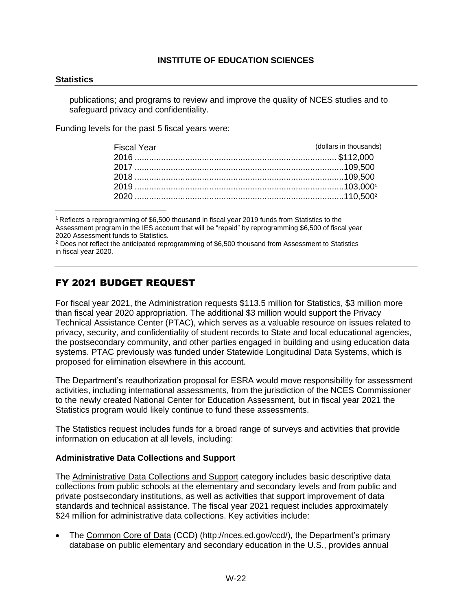#### **Statistics**

publications; and programs to review and improve the quality of NCES studies and to safeguard privacy and confidentiality.

Funding levels for the past 5 fiscal years were:

<span id="page-23-3"></span><span id="page-23-2"></span>

| <b>Fiscal Year</b> | (dollars in thousands) |
|--------------------|------------------------|
|                    |                        |
|                    |                        |
|                    |                        |
|                    |                        |
|                    |                        |

<span id="page-23-0"></span>[1](#page-23-2) Reflects a reprogramming of \$6,500 thousand in fiscal year 2019 funds from Statistics to the Assessment program in the IES account that will be "repaid" by reprogramming \$6,500 of fiscal year 2020 Assessment funds to Statistics.

<span id="page-23-1"></span><sup>[2](#page-23-3)</sup> Does not reflect the anticipated reprogramming of \$6,500 thousand from Assessment to Statistics in fiscal year 2020.

### FY 2021 BUDGET REQUEST

For fiscal year 2021, the Administration requests \$113.5 million for Statistics, \$3 million more than fiscal year 2020 appropriation. The additional \$3 million would support the Privacy Technical Assistance Center (PTAC), which serves as a valuable resource on issues related to privacy, security, and confidentiality of student records to State and local educational agencies, the postsecondary community, and other parties engaged in building and using education data systems. PTAC previously was funded under Statewide Longitudinal Data Systems, which is proposed for elimination elsewhere in this account.

The Department's reauthorization proposal for ESRA would move responsibility for assessment activities, including international assessments, from the jurisdiction of the NCES Commissioner to the newly created National Center for Education Assessment, but in fiscal year 2021 the Statistics program would likely continue to fund these assessments.

The Statistics request includes funds for a broad range of surveys and activities that provide information on education at all levels, including:

#### **Administrative Data Collections and Support**

The Administrative Data Collections and Support category includes basic descriptive data collections from public schools at the elementary and secondary levels and from public and private postsecondary institutions, as well as activities that support improvement of data standards and technical assistance. The fiscal year 2021 request includes approximately \$24 million for administrative data collections. Key activities include:

• The Common Core of Data (CCD) [\(http://nces.ed.gov/ccd/\)](http://nces.ed.gov/ccd/), the Department's primary database on public elementary and secondary education in the U.S., provides annual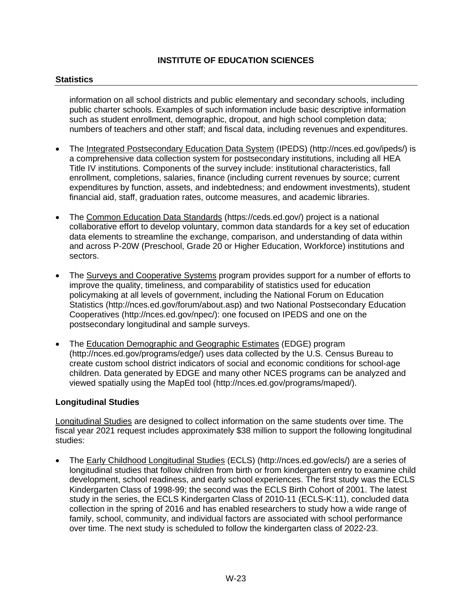#### **Statistics**

information on all school districts and public elementary and secondary schools, including public charter schools. Examples of such information include basic descriptive information such as student enrollment, demographic, dropout, and high school completion data; numbers of teachers and other staff; and fiscal data, including revenues and expenditures.

- The Integrated Postsecondary Education Data System (IPEDS) [\(http://nces.ed.gov/ipeds/\)](http://nces.ed.gov/ipeds/) is a comprehensive data collection system for postsecondary institutions, including all HEA Title IV institutions. Components of the survey include: institutional characteristics, fall enrollment, completions, salaries, finance (including current revenues by source; current expenditures by function, assets, and indebtedness; and endowment investments), student financial aid, staff, graduation rates, outcome measures, and academic libraries.
- The Common Education Data Standards [\(https://ceds.ed.gov/\)](https://ceds.ed.gov/) project is a national collaborative effort to develop voluntary, common data standards for a key set of education data elements to streamline the exchange, comparison, and understanding of data within and across P-20W (Preschool, Grade 20 or Higher Education, Workforce) institutions and sectors.
- The Surveys and Cooperative Systems program provides support for a number of efforts to improve the quality, timeliness, and comparability of statistics used for education policymaking at all levels of government, including the National Forum on Education Statistics [\(http://nces.ed.gov/forum/about.asp\)](http://nces.ed.gov/forum/about.asp) and two National Postsecondary Education Cooperatives [\(http://nces.ed.gov/npec/\)](http://nces.ed.gov/npec/): one focused on IPEDS and one on the postsecondary longitudinal and sample surveys.
- The Education Demographic and Geographic Estimates (EDGE) program [\(http://nces.ed.gov/programs/edge/\)](http://nces.ed.gov/programs/edge/) uses data collected by the U.S. Census Bureau to create custom school district indicators of social and economic conditions for school-age children. Data generated by EDGE and many other NCES programs can be analyzed and viewed spatially using the MapEd tool [\(http://nces.ed.gov/programs/maped/\)](http://nces.ed.gov/programs/maped/).

#### **Longitudinal Studies**

Longitudinal Studies are designed to collect information on the same students over time. The fiscal year 2021 request includes approximately \$38 million to support the following longitudinal studies:

• The Early Childhood Longitudinal Studies (ECLS) [\(http://nces.ed.gov/ecls/\)](http://nces.ed.gov/ecls/) are a series of longitudinal studies that follow children from birth or from kindergarten entry to examine child development, school readiness, and early school experiences. The first study was the ECLS Kindergarten Class of 1998-99; the second was the ECLS Birth Cohort of 2001. The latest study in the series, the ECLS Kindergarten Class of 2010-11 (ECLS-K:11), concluded data collection in the spring of 2016 and has enabled researchers to study how a wide range of family, school, community, and individual factors are associated with school performance over time. The next study is scheduled to follow the kindergarten class of 2022-23.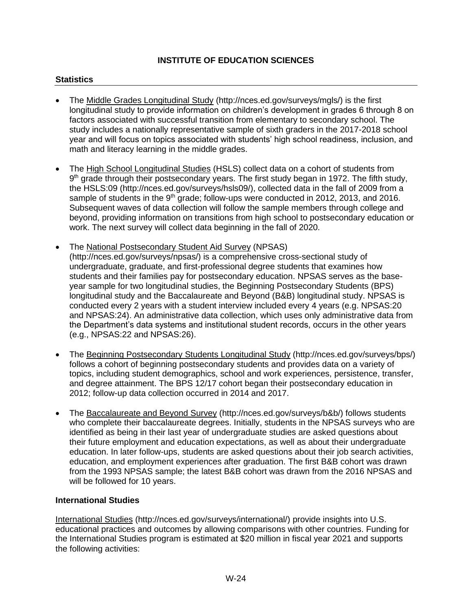#### **Statistics**

- The Middle Grades Longitudinal Study [\(http://nces.ed.gov/surveys/mgls/\)](http://nces.ed.gov/surveys/mgls/) is the first longitudinal study to provide information on children's development in grades 6 through 8 on factors associated with successful transition from elementary to secondary school. The study includes a nationally representative sample of sixth graders in the 2017-2018 school year and will focus on topics associated with students' high school readiness, inclusion, and math and literacy learning in the middle grades.
- The High School Longitudinal Studies (HSLS) collect data on a cohort of students from 9<sup>th</sup> grade through their postsecondary years. The first study began in 1972. The fifth study, the HSLS:09 [\(http://nces.ed.gov/surveys/hsls09/\)](http://nces.ed.gov/surveys/hsls09/), collected data in the fall of 2009 from a sample of students in the  $9<sup>th</sup>$  grade; follow-ups were conducted in 2012, 2013, and 2016. Subsequent waves of data collection will follow the sample members through college and beyond, providing information on transitions from high school to postsecondary education or work. The next survey will collect data beginning in the fall of 2020.
- The National Postsecondary Student Aid Survey (NPSAS) [\(http://nces.ed.gov/surveys/npsas/](http://nces.ed.gov/surveys/npsas/)) is a comprehensive cross-sectional study of undergraduate, graduate, and first-professional degree students that examines how students and their families pay for postsecondary education. NPSAS serves as the baseyear sample for two longitudinal studies, the Beginning Postsecondary Students (BPS) longitudinal study and the Baccalaureate and Beyond (B&B) longitudinal study. NPSAS is conducted every 2 years with a student interview included every 4 years (e.g. NPSAS:20 and NPSAS:24). An administrative data collection, which uses only administrative data from the Department's data systems and institutional student records, occurs in the other years (e.g., NPSAS:22 and NPSAS:26).
- The Beginning Postsecondary Students Longitudinal Study [\(http://nces.ed.gov/surveys/bps/\)](http://nces.ed.gov/surveys/bps/) follows a cohort of beginning postsecondary students and provides data on a variety of topics, including student demographics, school and work experiences, persistence, transfer, and degree attainment. The BPS 12/17 cohort began their postsecondary education in 2012; follow-up data collection occurred in 2014 and 2017.
- The Baccalaureate and Beyond Survey [\(http://nces.ed.gov/surveys/b&b/\)](http://nces.ed.gov/surveys/b&b/) follows students who complete their baccalaureate degrees. Initially, students in the NPSAS surveys who are identified as being in their last year of undergraduate studies are asked questions about their future employment and education expectations, as well as about their undergraduate education. In later follow-ups, students are asked questions about their job search activities, education, and employment experiences after graduation. The first B&B cohort was drawn from the 1993 NPSAS sample; the latest B&B cohort was drawn from the 2016 NPSAS and will be followed for 10 years.

#### **International Studies**

International Studies [\(http://nces.ed.gov/surveys/international/\)](http://nces.ed.gov/surveys/international/) provide insights into U.S. educational practices and outcomes by allowing comparisons with other countries. Funding for the International Studies program is estimated at \$20 million in fiscal year 2021 and supports the following activities: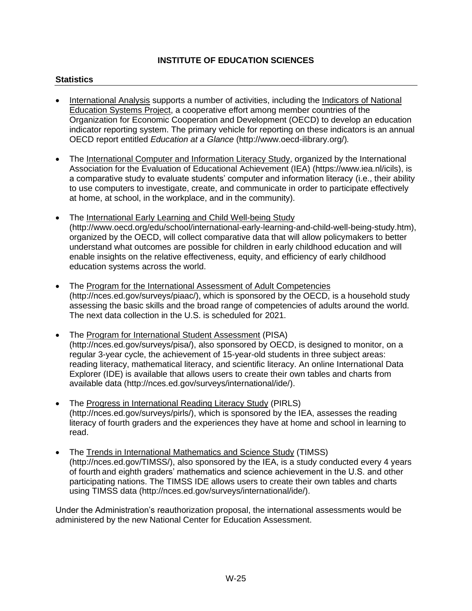#### **Statistics**

- International Analysis supports a number of activities, including the Indicators of National Education Systems Project, a cooperative effort among member countries of the Organization for Economic Cooperation and Development (OECD) to develop an education indicator reporting system. The primary vehicle for reporting on these indicators is an annual OECD report entitled *Education at a Glance* [\(http://www.oecd-ilibrary.org/\)](http://www.oecd-ilibrary.org/)*.*
- The International Computer and Information Literacy Study, organized by the International Association for the Evaluation of Educational Achievement (IEA) (https://www.iea.nl/icils), is a comparative study to evaluate students' computer and information literacy (i.e., their ability to use computers to investigate, create, and communicate in order to participate effectively at home, at school, in the workplace, and in the community).
- The International Early Learning and Child Well-being Study [\(http://www.oecd.org/edu/school/international-early-learning-and-child-well-being-study.htm\)](http://www.oecd.org/edu/school/international-early-learning-and-child-well-being-study.htm), organized by the OECD, will collect comparative data that will allow policymakers to better understand what outcomes are possible for children in early childhood education and will enable insights on the relative effectiveness, equity, and efficiency of early childhood education systems across the world.
- The Program for the International Assessment of Adult Competencies [\(http://nces.ed.gov/surveys/piaac/\)](http://nces.ed.gov/surveys/piaac/), which is sponsored by the OECD, is a household study assessing the basic skills and the broad range of competencies of adults around the world. The next data collection in the U.S. is scheduled for 2021.
- The Program for International Student Assessment (PISA) [\(http://nces.ed.gov/surveys/pisa/\)](http://nces.ed.gov/surveys/pisa/), also sponsored by OECD, is designed to monitor, on a regular 3-year cycle, the achievement of 15-year-old students in three subject areas: reading literacy, mathematical literacy, and scientific literacy. An online International Data Explorer (IDE) is available that allows users to create their own tables and charts from available data [\(http://nces.ed.gov/surveys/international/ide/\)](http://nces.ed.gov/surveys/international/ide/).
- The Progress in International Reading Literacy Study (PIRLS) [\(http://nces.ed.gov/surveys/pirls/\)](http://nces.ed.gov/surveys/pirls/), which is sponsored by the IEA, assesses the reading literacy of fourth graders and the experiences they have at home and school in learning to read.
- The Trends in International Mathematics and Science Study (TIMSS) [\(http://nces.ed.gov/TIMSS/\)](http://nces.ed.gov/TIMSS/), also sponsored by the IEA, is a study conducted every 4 years of fourth and eighth graders' mathematics and science achievement in the U.S. and other participating nations. The TIMSS IDE allows users to create their own tables and charts using TIMSS data [\(http://nces.ed.gov/surveys/international/ide/\)](http://nces.ed.gov/surveys/international/ide/).

Under the Administration's reauthorization proposal, the international assessments would be administered by the new National Center for Education Assessment.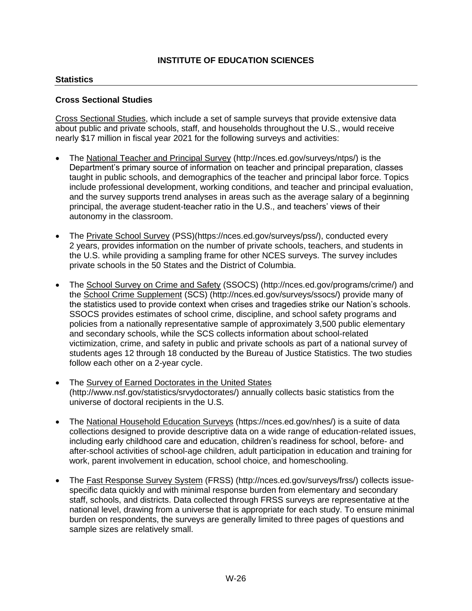#### **Statistics**

#### **Cross Sectional Studies**

Cross Sectional Studies, which include a set of sample surveys that provide extensive data about public and private schools, staff, and households throughout the U.S., would receive nearly \$17 million in fiscal year 2021 for the following surveys and activities:

- The National Teacher and Principal Survey [\(http://nces.ed.gov/surveys/ntps/\)](http://nces.ed.gov/surveys/ntps/) is the Department's primary source of information on teacher and principal preparation, classes taught in public schools, and demographics of the teacher and principal labor force. Topics include professional development, working conditions, and teacher and principal evaluation, and the survey supports trend analyses in areas such as the average salary of a beginning principal, the average student-teacher ratio in the U.S., and teachers' views of their autonomy in the classroom.
- The Private School Survey (PSS)[\(https://nces.ed.gov/surveys/pss/\)](https://nces.ed.gov/surveys/pss/), conducted every 2 years, provides information on the number of private schools, teachers, and students in the U.S. while providing a sampling frame for other NCES surveys. The survey includes private schools in the 50 States and the District of Columbia.
- The School Survey on Crime and Safety (SSOCS) [\(http://nces.ed.gov/programs/crime/\)](http://nces.ed.gov/programs/crime/) and the School Crime Supplement (SCS) [\(http://nces.ed.gov/surveys/ssocs/\)](http://nces.ed.gov/surveys/ssocs/) provide many of the statistics used to provide context when crises and tragedies strike our Nation's schools. SSOCS provides estimates of school crime, discipline, and school safety programs and policies from a nationally representative sample of approximately 3,500 public elementary and secondary schools, while the SCS collects information about school-related victimization, crime, and safety in public and private schools as part of a national survey of students ages 12 through 18 conducted by the Bureau of Justice Statistics. The two studies follow each other on a 2-year cycle.
- The Survey of Earned Doctorates in the United States [\(http://www.nsf.gov/statistics/srvydoctorates/\)](http://www.nsf.gov/statistics/srvydoctorates/) annually collects basic statistics from the universe of doctoral recipients in the U.S.
- The National Household Education Surveys [\(https://nces.ed.gov/nhes/\)](https://nces.ed.gov/nhes/) is a suite of data collections designed to provide descriptive data on a wide range of education-related issues, including early childhood care and education, children's readiness for school, before- and after-school activities of school-age children, adult participation in education and training for work, parent involvement in education, school choice, and homeschooling.
- The Fast Response Survey System (FRSS) [\(http://nces.ed.gov/surveys/frss/\)](http://nces.ed.gov/surveys/frss/) collects issuespecific data quickly and with minimal response burden from elementary and secondary staff, schools, and districts. Data collected through FRSS surveys are representative at the national level, drawing from a universe that is appropriate for each study. To ensure minimal burden on respondents, the surveys are generally limited to three pages of questions and sample sizes are relatively small.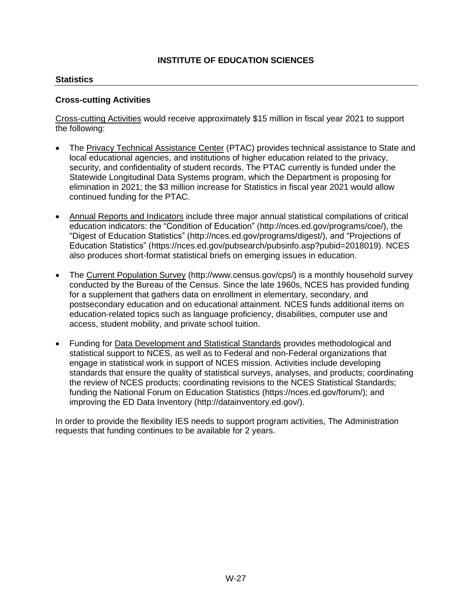#### **Statistics**

#### **Cross-cutting Activities**

Cross-cutting Activities would receive approximately \$15 million in fiscal year 2021 to support the following:

- The Privacy Technical Assistance Center (PTAC) provides technical assistance to State and local educational agencies, and institutions of higher education related to the privacy, security, and confidentiality of student records. The PTAC currently is funded under the Statewide Longitudinal Data Systems program, which the Department is proposing for elimination in 2021; the \$3 million increase for Statistics in fiscal year 2021 would allow continued funding for the PTAC.
- Annual Reports and Indicators include three major annual statistical compilations of critical education indicators: the "Condition of Education" [\(http://nces.ed.gov/programs/coe/\)](http://nces.ed.gov/programs/coe/), the "Digest of Education Statistics" [\(http://nces.ed.gov/programs/digest/\)](http://nces.ed.gov/programs/digest/), and "Projections of Education Statistics" [\(https://nces.ed.gov/pubsearch/pubsinfo.asp?pubid=2018019\)](https://nces.ed.gov/pubsearch/pubsinfo.asp?pubid=2018019). NCES also produces short-format statistical briefs on emerging issues in education.
- The [Current Population Survey](http://nces.ed.gov/transfer.asp?location=www.census.gov/cps) [\(http://www.census.gov/cps/\)](http://www.census.gov/cps/) is a monthly household survey conducted by the Bureau of the Census. Since the late 1960s, NCES has provided funding for a supplement that gathers data on enrollment in elementary, secondary, and postsecondary education and on educational attainment. NCES funds additional items on education-related topics such as language proficiency, disabilities, computer use and access, student mobility, and private school tuition.
- Funding for Data Development and Statistical Standards provides methodological and statistical support to NCES, as well as to Federal and non-Federal organizations that engage in statistical work in support of NCES mission. Activities include developing standards that ensure the quality of statistical surveys, analyses, and products; coordinating the review of NCES products; coordinating revisions to the NCES Statistical Standards; funding the National Forum on Education Statistics [\(https://nces.ed.gov/forum/\)](https://nces.ed.gov/forum/); and improving the ED Data Inventory [\(http://datainventory.ed.gov/\)](http://datainventory.ed.gov/).

In order to provide the flexibility IES needs to support program activities, The Administration requests that funding continues to be available for 2 years.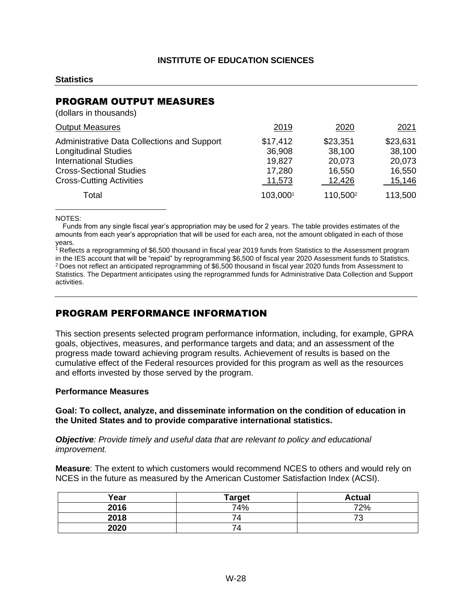#### **Statistics**

### PROGRAM OUTPUT MEASURES

(dollars in thousands)

| <b>Output Measures</b>                                                                                                                                                                 | 2019                                             | 2020                                             | 2021                                             |
|----------------------------------------------------------------------------------------------------------------------------------------------------------------------------------------|--------------------------------------------------|--------------------------------------------------|--------------------------------------------------|
| <b>Administrative Data Collections and Support</b><br><b>Longitudinal Studies</b><br><b>International Studies</b><br><b>Cross-Sectional Studies</b><br><b>Cross-Cutting Activities</b> | \$17,412<br>36,908<br>19,827<br>17,280<br>11,573 | \$23,351<br>38,100<br>20,073<br>16,550<br>12,426 | \$23,631<br>38,100<br>20,073<br>16,550<br>15,146 |
| Total                                                                                                                                                                                  | 103,0001                                         | 110,500 <sup>2</sup>                             | 113,500                                          |

<span id="page-29-3"></span><span id="page-29-2"></span>NOTES:

Funds from any single fiscal year's appropriation may be used for 2 years. The table provides estimates of the amounts from each year's appropriation that will be used for each area, not the amount obligated in each of those years.

<span id="page-29-1"></span><span id="page-29-0"></span> $1$  Reflects a reprogramming of \$6,500 thousand in fiscal year 2019 funds from Statistics to the Assessment program in the IES account that will be "repaid" by reprogramming \$6,500 of fiscal year 2020 Assessment funds to Statistics. <sup>[2](#page-29-3)</sup> Does not reflect an anticipated reprogramming of \$6,500 thousand in fiscal year 2020 funds from Assessment to Statistics. The Department anticipates using the reprogrammed funds for Administrative Data Collection and Support activities.

### PROGRAM PERFORMANCE INFORMATION

This section presents selected program performance information, including, for example, GPRA goals, objectives, measures, and performance targets and data; and an assessment of the progress made toward achieving program results. Achievement of results is based on the cumulative effect of the Federal resources provided for this program as well as the resources and efforts invested by those served by the program.

#### **Performance Measures**

#### **Goal: To collect, analyze, and disseminate information on the condition of education in the United States and to provide comparative international statistics.**

*Objective: Provide timely and useful data that are relevant to policy and educational improvement.*

**Measure**: The extent to which customers would recommend NCES to others and would rely on NCES in the future as measured by the American Customer Satisfaction Index (ACSI).

| Year | <b>Target</b>  | <b>Actual</b>                  |
|------|----------------|--------------------------------|
| 2016 | 74%            | 72%                            |
| 2018 | $\Delta$       | 70<br>$\overline{\phantom{a}}$ |
| 2020 | $\overline{4}$ |                                |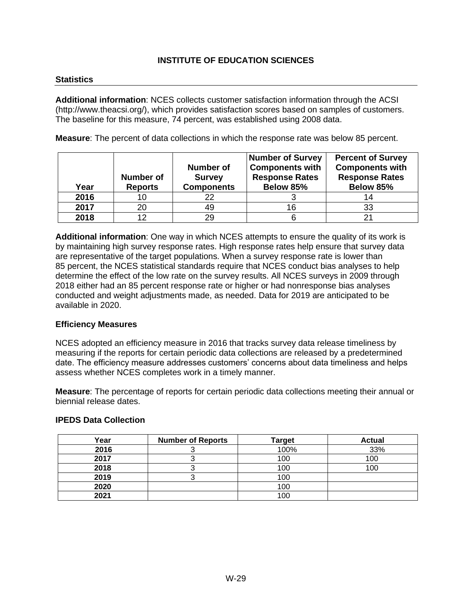#### **Statistics**

**Additional information**: NCES collects customer satisfaction information through the ACSI [\(http://www.theacsi.org/\)](http://www.theacsi.org/), which provides satisfaction scores based on samples of customers. The baseline for this measure, 74 percent, was established using 2008 data.

**Measure**: The percent of data collections in which the response rate was below 85 percent.

| Year | <b>Number of</b><br><b>Reports</b> | Number of<br><b>Survey</b><br><b>Components</b> | Number of Survey<br><b>Components with</b><br><b>Response Rates</b><br>Below 85% | <b>Percent of Survey</b><br><b>Components with</b><br><b>Response Rates</b><br>Below 85% |
|------|------------------------------------|-------------------------------------------------|----------------------------------------------------------------------------------|------------------------------------------------------------------------------------------|
| 2016 | 10                                 | 22                                              |                                                                                  | 14                                                                                       |
| 2017 | 20                                 | 49                                              | 16                                                                               | 33                                                                                       |
| 2018 | 1つ                                 | 29                                              |                                                                                  | 21                                                                                       |

**Additional information**: One way in which NCES attempts to ensure the quality of its work is by maintaining high survey response rates. High response rates help ensure that survey data are representative of the target populations. When a survey response rate is lower than 85 percent, the NCES statistical standards require that NCES conduct bias analyses to help determine the effect of the low rate on the survey results. All NCES surveys in 2009 through 2018 either had an 85 percent response rate or higher or had nonresponse bias analyses conducted and weight adjustments made, as needed. Data for 2019 are anticipated to be available in 2020.

#### **Efficiency Measures**

NCES adopted an efficiency measure in 2016 that tracks survey data release timeliness by measuring if the reports for certain periodic data collections are released by a predetermined date. The efficiency measure addresses customers' concerns about data timeliness and helps assess whether NCES completes work in a timely manner.

**Measure**: The percentage of reports for certain periodic data collections meeting their annual or biennial release dates.

#### **IPEDS Data Collection**

| Year | <b>Number of Reports</b> | <b>Target</b> | <b>Actual</b> |
|------|--------------------------|---------------|---------------|
| 2016 |                          | 100%          | 33%           |
| 2017 |                          | 100           | 100           |
| 2018 |                          | 100           | 100           |
| 2019 |                          | 100           |               |
| 2020 |                          | 100           |               |
| 2021 |                          | 100           |               |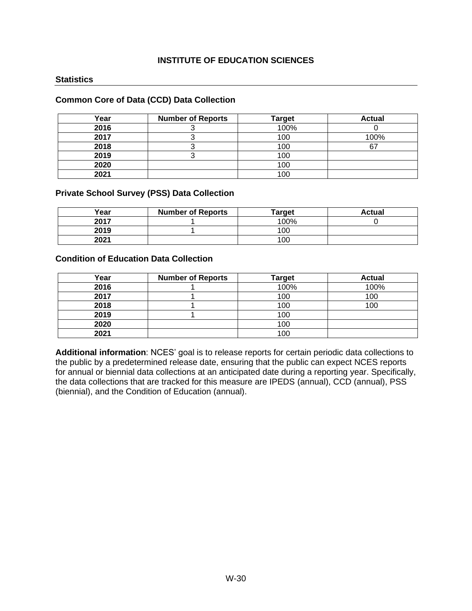#### **Statistics**

#### **Common Core of Data (CCD) Data Collection**

| Year | <b>Number of Reports</b> | <b>Target</b> | <b>Actual</b> |
|------|--------------------------|---------------|---------------|
| 2016 |                          | 100%          |               |
| 2017 |                          | 100           | 100%          |
| 2018 |                          | 100           | c7            |
| 2019 |                          | 100           |               |
| 2020 |                          | 100           |               |
| 2021 |                          | 100           |               |

#### **Private School Survey (PSS) Data Collection**

| Year | <b>Number of Reports</b> | <b>Target</b> | Actual |
|------|--------------------------|---------------|--------|
| 2017 |                          | 100%          |        |
| 2019 |                          | 100           |        |
| 2021 |                          | 100           |        |

#### **Condition of Education Data Collection**

| Year | <b>Number of Reports</b> | Target | <b>Actual</b> |
|------|--------------------------|--------|---------------|
| 2016 |                          | 100%   | 100%          |
| 2017 |                          | 100    | 100           |
| 2018 |                          | 100    | 100           |
| 2019 |                          | 100    |               |
| 2020 |                          | 100    |               |
| 2021 |                          | 100    |               |

**Additional information**: NCES' goal is to release reports for certain periodic data collections to the public by a predetermined release date, ensuring that the public can expect NCES reports for annual or biennial data collections at an anticipated date during a reporting year. Specifically, the data collections that are tracked for this measure are IPEDS (annual), CCD (annual), PSS (biennial), and the Condition of Education (annual).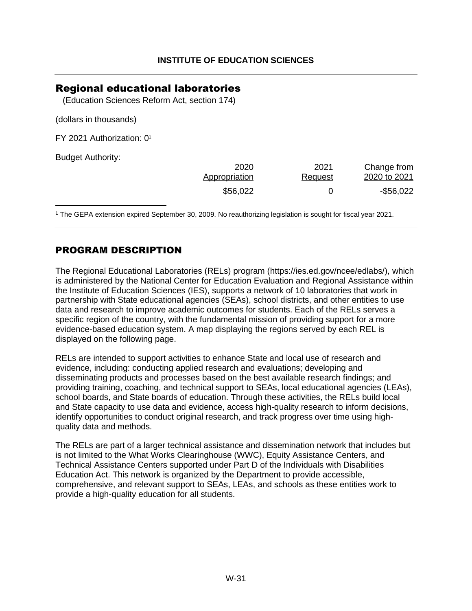### <span id="page-32-0"></span>Regional educational laboratories

(Education Sciences Reform Act, section 174)

(dollars in thousands)

FY 2021 Authorization: [0](#page-32-1)<sup>1</sup>

Budget Authority:

<span id="page-32-2"></span>

| 2020          | 2021    | Change from  |
|---------------|---------|--------------|
| Appropriation | Request | 2020 to 2021 |
| \$56,022      |         | $-$ \$56,022 |

<span id="page-32-1"></span>[1](#page-32-2) The GEPA extension expired September 30, 2009. No reauthorizing legislation is sought for fiscal year 2021.

### PROGRAM DESCRIPTION

The Regional Educational Laboratories (RELs) program [\(https://ies.ed.gov/ncee/edlabs/\)](http://ies.ed.gov/ncee/edlabs/), which is administered by the National Center for Education Evaluation and Regional Assistance within the Institute of Education Sciences (IES), supports a network of 10 laboratories that work in partnership with State educational agencies (SEAs), school districts, and other entities to use data and research to improve academic outcomes for students. Each of the RELs serves a specific region of the country, with the fundamental mission of providing support for a more evidence-based education system. A map displaying the regions served by each REL is displayed on the following page.

RELs are intended to support activities to enhance State and local use of research and evidence, including: conducting applied research and evaluations; developing and disseminating products and processes based on the best available research findings; and providing training, coaching, and technical support to SEAs, local educational agencies (LEAs), school boards, and State boards of education. Through these activities, the RELs build local and State capacity to use data and evidence, access high-quality research to inform decisions, identify opportunities to conduct original research, and track progress over time using highquality data and methods.

The RELs are part of a larger technical assistance and dissemination network that includes but is not limited to the What Works Clearinghouse (WWC), Equity Assistance Centers, and Technical Assistance Centers supported under Part D of the Individuals with Disabilities Education Act. This network is organized by the Department to provide accessible, comprehensive, and relevant support to SEAs, LEAs, and schools as these entities work to provide a high-quality education for all students.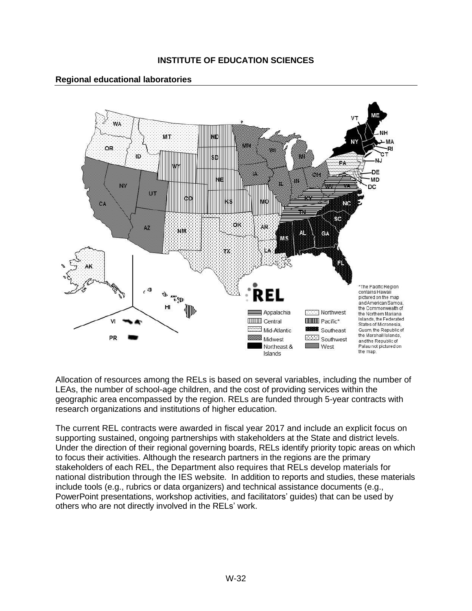#### **Regional educational laboratories**



Allocation of resources among the RELs is based on several variables, including the number of LEAs, the number of school-age children, and the cost of providing services within the geographic area encompassed by the region. RELs are funded through 5-year contracts with research organizations and institutions of higher education.

The current REL contracts were awarded in fiscal year 2017 and include an explicit focus on supporting sustained, ongoing partnerships with stakeholders at the State and district levels. Under the direction of their regional governing boards, RELs identify priority topic areas on which to focus their activities. Although the research partners in the regions are the primary stakeholders of each REL, the Department also requires that RELs develop materials for national distribution through the IES website. In addition to reports and studies, these materials include tools (e.g., rubrics or data organizers) and technical assistance documents (e.g., PowerPoint presentations, workshop activities, and facilitators' guides) that can be used by others who are not directly involved in the RELs' work.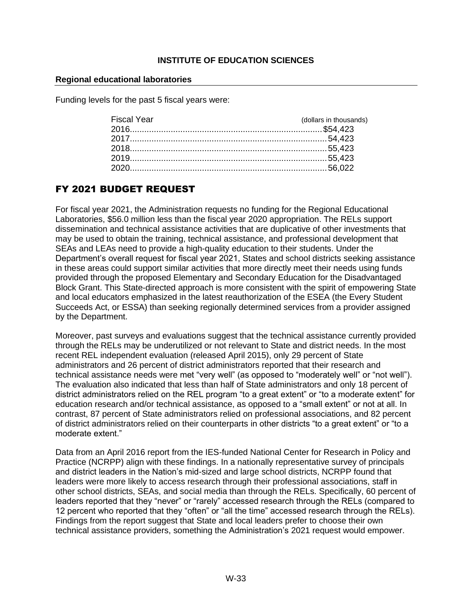#### **Regional educational laboratories**

Funding levels for the past 5 fiscal years were:

| <b>Fiscal Year</b> | (dollars in thousands) |
|--------------------|------------------------|
|                    |                        |
|                    |                        |
|                    |                        |
|                    |                        |
|                    |                        |

# FY 2021 BUDGET REQUEST

For fiscal year 2021, the Administration requests no funding for the Regional Educational Laboratories, \$56.0 million less than the fiscal year 2020 appropriation. The RELs support dissemination and technical assistance activities that are duplicative of other investments that may be used to obtain the training, technical assistance, and professional development that SEAs and LEAs need to provide a high-quality education to their students. Under the Department's overall request for fiscal year 2021, States and school districts seeking assistance in these areas could support similar activities that more directly meet their needs using funds provided through the proposed Elementary and Secondary Education for the Disadvantaged Block Grant. This State-directed approach is more consistent with the spirit of empowering State and local educators emphasized in the latest reauthorization of the ESEA (the Every Student Succeeds Act, or ESSA) than seeking regionally determined services from a provider assigned by the Department.

Moreover, past surveys and evaluations suggest that the technical assistance currently provided through the RELs may be underutilized or not relevant to State and district needs. In the most recent REL independent evaluation (released April 2015), only 29 percent of State administrators and 26 percent of district administrators reported that their research and technical assistance needs were met "very well" (as opposed to "moderately well" or "not well"). The evaluation also indicated that less than half of State administrators and only 18 percent of district administrators relied on the REL program "to a great extent" or "to a moderate extent" for education research and/or technical assistance, as opposed to a "small extent" or not at all. In contrast, 87 percent of State administrators relied on professional associations, and 82 percent of district administrators relied on their counterparts in other districts "to a great extent" or "to a moderate extent."

Data from an April 2016 report from the IES-funded National Center for Research in Policy and Practice (NCRPP) align with these findings. In a nationally representative survey of principals and district leaders in the Nation's mid-sized and large school districts, NCRPP found that leaders were more likely to access research through their professional associations, staff in other school districts, SEAs, and social media than through the RELs. Specifically, 60 percent of leaders reported that they "never" or "rarely" accessed research through the RELs (compared to 12 percent who reported that they "often" or "all the time" accessed research through the RELs). Findings from the report suggest that State and local leaders prefer to choose their own technical assistance providers, something the Administration's 2021 request would empower.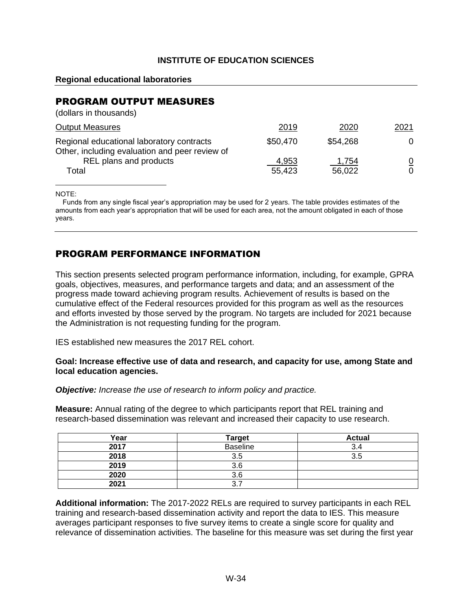#### **Regional educational laboratories**

### PROGRAM OUTPUT MEASURES

| (dollars in thousands)                                                                      |                 |                 |                     |
|---------------------------------------------------------------------------------------------|-----------------|-----------------|---------------------|
| <b>Output Measures</b>                                                                      | 2019            | 2020            | <u> 2021</u>        |
| Regional educational laboratory contracts<br>Other, including evaluation and peer review of | \$50,470        | \$54,268        | 0                   |
| REL plans and products<br>Total                                                             | 4,953<br>55,423 | 1,754<br>56,022 | $\overline{0}$<br>0 |

NOTE:

Funds from any single fiscal year's appropriation may be used for 2 years. The table provides estimates of the amounts from each year's appropriation that will be used for each area, not the amount obligated in each of those years.

### PROGRAM PERFORMANCE INFORMATION

This section presents selected program performance information, including, for example, GPRA goals, objectives, measures, and performance targets and data; and an assessment of the progress made toward achieving program results. Achievement of results is based on the cumulative effect of the Federal resources provided for this program as well as the resources and efforts invested by those served by the program. No targets are included for 2021 because the Administration is not requesting funding for the program.

IES established new measures the 2017 REL cohort.

#### **Goal: Increase effective use of data and research, and capacity for use, among State and local education agencies.**

*Objective: Increase the use of research to inform policy and practice.*

**Measure:** Annual rating of the degree to which participants report that REL training and research-based dissemination was relevant and increased their capacity to use research.

| Year | <b>Target</b>   | <b>Actual</b> |
|------|-----------------|---------------|
| 2017 | <b>Baseline</b> | 3.4           |
| 2018 | 3.5             | 3.5           |
| 2019 | 3.6             |               |
| 2020 | 3.6             |               |
| 2021 | າ<br>J.         |               |

**Additional information:** The 2017-2022 RELs are required to survey participants in each REL training and research-based dissemination activity and report the data to IES. This measure averages participant responses to five survey items to create a single score for quality and relevance of dissemination activities. The baseline for this measure was set during the first year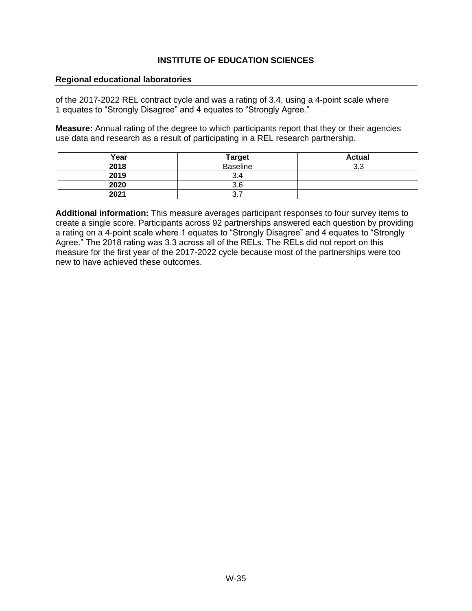#### **Regional educational laboratories**

of the 2017-2022 REL contract cycle and was a rating of 3.4, using a 4-point scale where 1 equates to "Strongly Disagree" and 4 equates to "Strongly Agree."

**Measure:** Annual rating of the degree to which participants report that they or their agencies use data and research as a result of participating in a REL research partnership.

| Year | <b>Target</b>   | <b>Actual</b> |
|------|-----------------|---------------|
| 2018 | <b>Baseline</b> | 3.3           |
| 2019 | 3.4             |               |
| 2020 | 3.6             |               |
| 2021 | ◡.≀             |               |

**Additional information:** This measure averages participant responses to four survey items to create a single score. Participants across 92 partnerships answered each question by providing a rating on a 4-point scale where 1 equates to "Strongly Disagree" and 4 equates to "Strongly Agree." The 2018 rating was 3.3 across all of the RELs. The RELs did not report on this measure for the first year of the 2017-2022 cycle because most of the partnerships were too new to have achieved these outcomes.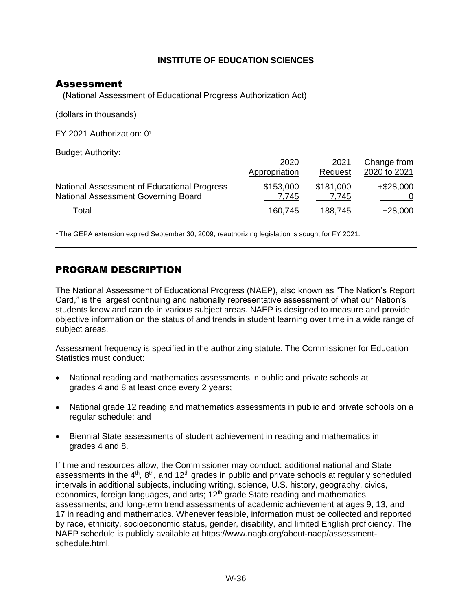### <span id="page-37-0"></span>Assessment

<span id="page-37-2"></span>(National Assessment of Educational Progress Authorization Act)

(dollars in thousands)

FY 2021 Authorization: [0](#page-37-1)<sup>1</sup>

Budget Authority:

|                                             | 2020          | 2021      | Change from  |
|---------------------------------------------|---------------|-----------|--------------|
|                                             | Appropriation | Request   | 2020 to 2021 |
| National Assessment of Educational Progress | \$153,000     | \$181,000 | $+$ \$28,000 |
| National Assessment Governing Board         | 7.745         | 7.745     |              |
| Total                                       | 160,745       | 188,745   | $+28,000$    |

<span id="page-37-1"></span>[1](#page-37-2) The GEPA extension expired September 30, 2009; reauthorizing legislation is sought for FY 2021.

### PROGRAM DESCRIPTION

The National Assessment of Educational Progress (NAEP), also known as "The Nation's Report Card," is the largest continuing and nationally representative assessment of what our Nation's students know and can do in various subject areas. NAEP is designed to measure and provide objective information on the status of and trends in student learning over time in a wide range of subject areas.

Assessment frequency is specified in the authorizing statute. The Commissioner for Education Statistics must conduct:

- National reading and mathematics assessments in public and private schools at grades 4 and 8 at least once every 2 years;
- National grade 12 reading and mathematics assessments in public and private schools on a regular schedule; and
- Biennial State assessments of student achievement in reading and mathematics in grades 4 and 8.

If time and resources allow, the Commissioner may conduct: additional national and State assessments in the  $4<sup>th</sup>$ ,  $8<sup>th</sup>$ , and  $12<sup>th</sup>$  grades in public and private schools at regularly scheduled intervals in additional subjects, including writing, science, U.S. history, geography, civics, economics, foreign languages, and arts;  $12<sup>th</sup>$  grade State reading and mathematics assessments; and long-term trend assessments of academic achievement at ages 9, 13, and 17 in reading and mathematics. Whenever feasible, information must be collected and reported by race, ethnicity, socioeconomic status, gender, disability, and limited English proficiency. The NAEP schedule is publicly available at [https://www.nagb.org/about-naep/assessment](https://www.nagb.org/about-naep/assessment-schedule.html)[schedule.html.](https://www.nagb.org/about-naep/assessment-schedule.html)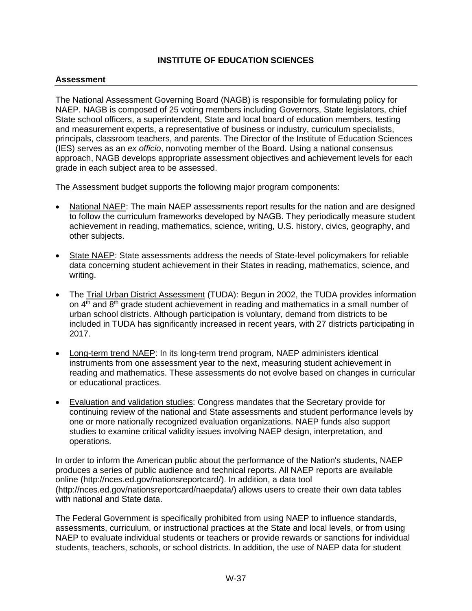#### **Assessment**

The National Assessment Governing Board (NAGB) is responsible for formulating policy for NAEP. NAGB is composed of 25 voting members including Governors, State legislators, chief State school officers, a superintendent, State and local board of education members, testing and measurement experts, a representative of business or industry, curriculum specialists, principals, classroom teachers, and parents. The Director of the Institute of Education Sciences (IES) serves as an *ex officio*, nonvoting member of the Board. Using a national consensus approach, NAGB develops appropriate assessment objectives and achievement levels for each grade in each subject area to be assessed.

The Assessment budget supports the following major program components:

- National NAEP: The main NAEP assessments report results for the nation and are designed to follow the curriculum frameworks developed by NAGB. They periodically measure student achievement in reading, mathematics, science, writing, U.S. history, civics, geography, and other subjects.
- State NAEP: State assessments address the needs of State-level policymakers for reliable data concerning student achievement in their States in reading, mathematics, science, and writing.
- The Trial Urban District Assessment (TUDA): Begun in 2002, the TUDA provides information on  $4<sup>th</sup>$  and  $8<sup>th</sup>$  grade student achievement in reading and mathematics in a small number of urban school districts. Although participation is voluntary, demand from districts to be included in TUDA has significantly increased in recent years, with 27 districts participating in 2017.
- Long-term trend NAEP: In its long-term trend program, NAEP administers identical instruments from one assessment year to the next, measuring student achievement in reading and mathematics. These assessments do not evolve based on changes in curricular or educational practices.
- Evaluation and validation studies: Congress mandates that the Secretary provide for continuing review of the national and State assessments and student performance levels by one or more nationally recognized evaluation organizations. NAEP funds also support studies to examine critical validity issues involving NAEP design, interpretation, and operations.

In order to inform the American public about the performance of the Nation's students, NAEP produces a series of public audience and technical reports. All NAEP reports are available online [\(http://nces.ed.gov/nationsreportcard/\)](http://nces.ed.gov/nationsreportcard/). In addition, a data tool [\(http://nces.ed.gov/nationsreportcard/naepdata/\)](http://nces.ed.gov/nationsreportcard/naepdata/) allows users to create their own data tables with national and State data.

The Federal Government is specifically prohibited from using NAEP to influence standards, assessments, curriculum, or instructional practices at the State and local levels, or from using NAEP to evaluate individual students or teachers or provide rewards or sanctions for individual students, teachers, schools, or school districts. In addition, the use of NAEP data for student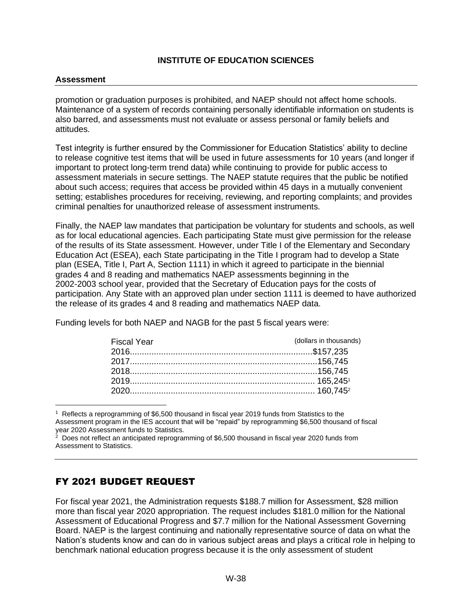#### **Assessment**

promotion or graduation purposes is prohibited, and NAEP should not affect home schools. Maintenance of a system of records containing personally identifiable information on students is also barred, and assessments must not evaluate or assess personal or family beliefs and attitudes.

Test integrity is further ensured by the Commissioner for Education Statistics' ability to decline to release cognitive test items that will be used in future assessments for 10 years (and longer if important to protect long-term trend data) while continuing to provide for public access to assessment materials in secure settings. The NAEP statute requires that the public be notified about such access; requires that access be provided within 45 days in a mutually convenient setting; establishes procedures for receiving, reviewing, and reporting complaints; and provides criminal penalties for unauthorized release of assessment instruments.

Finally, the NAEP law mandates that participation be voluntary for students and schools, as well as for local educational agencies. Each participating State must give permission for the release of the results of its State assessment. However, under Title I of the Elementary and Secondary Education Act (ESEA), each State participating in the Title I program had to develop a State plan (ESEA, Title I, Part A, Section 1111) in which it agreed to participate in the biennial grades 4 and 8 reading and mathematics NAEP assessments beginning in the 2002-2003 school year, provided that the Secretary of Education pays for the costs of participation. Any State with an approved plan under section 1111 is deemed to have authorized the release of its grades 4 and 8 reading and mathematics NAEP data.

Funding levels for both NAEP and NAGB for the past 5 fiscal years were:

<span id="page-39-2"></span><span id="page-39-1"></span>

| <b>Fiscal Year</b> | (dollars in thousands) |
|--------------------|------------------------|
|                    |                        |
|                    |                        |
|                    |                        |
|                    |                        |
|                    |                        |

<span id="page-39-0"></span><sup>&</sup>lt;sup>1</sup> Reflects a reprogramming of \$6,500 thousand in fiscal year 2019 funds from Statistics to the Assessment program in the IES account that will be "repaid" by reprogramming \$6,500 thousand of fiscal year 2020 Assessment funds to Statistics.

### FY 2021 BUDGET REQUEST

For fiscal year 2021, the Administration requests \$188.7 million for Assessment, \$28 million more than fiscal year 2020 appropriation. The request includes \$181.0 million for the National Assessment of Educational Progress and \$7.7 million for the National Assessment Governing Board. NAEP is the largest continuing and nationally representative source of data on what the Nation's students know and can do in various subject areas and plays a critical role in helping to benchmark national education progress because it is the only assessment of student

 $2$  Does not reflect an anticipated reprogramming of \$6,500 thousand in fiscal year 2020 funds from Assessment to Statistics.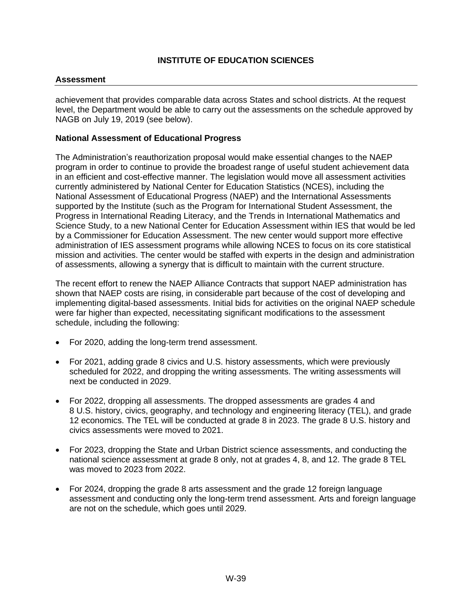#### **Assessment**

achievement that provides comparable data across States and school districts. At the request level, the Department would be able to carry out the assessments on the schedule approved by NAGB on July 19, 2019 (see below).

#### **National Assessment of Educational Progress**

The Administration's reauthorization proposal would make essential changes to the NAEP program in order to continue to provide the broadest range of useful student achievement data in an efficient and cost-effective manner. The legislation would move all assessment activities currently administered by National Center for Education Statistics (NCES), including the National Assessment of Educational Progress (NAEP) and the International Assessments supported by the Institute (such as the Program for International Student Assessment, the Progress in International Reading Literacy, and the Trends in International Mathematics and Science Study, to a new National Center for Education Assessment within IES that would be led by a Commissioner for Education Assessment. The new center would support more effective administration of IES assessment programs while allowing NCES to focus on its core statistical mission and activities. The center would be staffed with experts in the design and administration of assessments, allowing a synergy that is difficult to maintain with the current structure.

The recent effort to renew the NAEP Alliance Contracts that support NAEP administration has shown that NAEP costs are rising, in considerable part because of the cost of developing and implementing digital-based assessments. Initial bids for activities on the original NAEP schedule were far higher than expected, necessitating significant modifications to the assessment schedule, including the following:

- For 2020, adding the long-term trend assessment.
- For 2021, adding grade 8 civics and U.S. history assessments, which were previously scheduled for 2022, and dropping the writing assessments. The writing assessments will next be conducted in 2029.
- For 2022, dropping all assessments. The dropped assessments are grades 4 and 8 U.S. history, civics, geography, and technology and engineering literacy (TEL), and grade 12 economics. The TEL will be conducted at grade 8 in 2023. The grade 8 U.S. history and civics assessments were moved to 2021.
- For 2023, dropping the State and Urban District science assessments, and conducting the national science assessment at grade 8 only, not at grades 4, 8, and 12. The grade 8 TEL was moved to 2023 from 2022.
- For 2024, dropping the grade 8 arts assessment and the grade 12 foreign language assessment and conducting only the long-term trend assessment. Arts and foreign language are not on the schedule, which goes until 2029.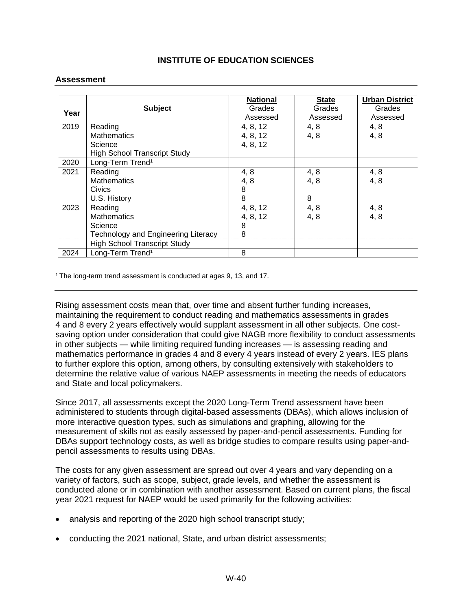#### **Assessment**

|      |                                            | <b>National</b> | <b>State</b> | <b>Urban District</b> |
|------|--------------------------------------------|-----------------|--------------|-----------------------|
| Year | <b>Subject</b>                             | Grades          | Grades       | Grades                |
|      |                                            | Assessed        | Assessed     | Assessed              |
| 2019 | Reading                                    | 4, 8, 12        | 4, 8         | 4, 8                  |
|      | <b>Mathematics</b>                         | 4, 8, 12        | 4, 8         | 4,8                   |
|      | Science                                    | 4, 8, 12        |              |                       |
|      | <b>High School Transcript Study</b>        |                 |              |                       |
| 2020 | Long-Term Trend <sup>1</sup>               |                 |              |                       |
| 2021 | Reading                                    | 4, 8            | 4, 8         | 4, 8                  |
|      | <b>Mathematics</b>                         | 4,8             | 4,8          | 4,8                   |
|      | <b>Civics</b>                              | 8               |              |                       |
|      | U.S. History                               | 8               | 8            |                       |
| 2023 | Reading                                    | 4, 8, 12        | 4, 8         | 4, 8                  |
|      | <b>Mathematics</b>                         | 4, 8, 12        | 4, 8         | 4,8                   |
|      | Science                                    | 8               |              |                       |
|      | <b>Technology and Engineering Literacy</b> | 8               |              |                       |
|      | <b>High School Transcript Study</b>        |                 |              |                       |
| 2024 | Long-Term Trend <sup>1</sup>               | 8               |              |                       |

<sup>1</sup> The long-term trend assessment is conducted at ages 9, 13, and 17.

Rising assessment costs mean that, over time and absent further funding increases, maintaining the requirement to conduct reading and mathematics assessments in grades 4 and 8 every 2 years effectively would supplant assessment in all other subjects. One costsaving option under consideration that could give NAGB more flexibility to conduct assessments in other subjects — while limiting required funding increases — is assessing reading and mathematics performance in grades 4 and 8 every 4 years instead of every 2 years. IES plans to further explore this option, among others, by consulting extensively with stakeholders to determine the relative value of various NAEP assessments in meeting the needs of educators and State and local policymakers.

Since 2017, all assessments except the 2020 Long-Term Trend assessment have been administered to students through digital-based assessments (DBAs), which allows inclusion of more interactive question types, such as simulations and graphing, allowing for the measurement of skills not as easily assessed by paper-and-pencil assessments. Funding for DBAs support technology costs, as well as bridge studies to compare results using paper-andpencil assessments to results using DBAs.

The costs for any given assessment are spread out over 4 years and vary depending on a variety of factors, such as scope, subject, grade levels, and whether the assessment is conducted alone or in combination with another assessment. Based on current plans, the fiscal year 2021 request for NAEP would be used primarily for the following activities:

- analysis and reporting of the 2020 high school transcript study;
- conducting the 2021 national, State, and urban district assessments;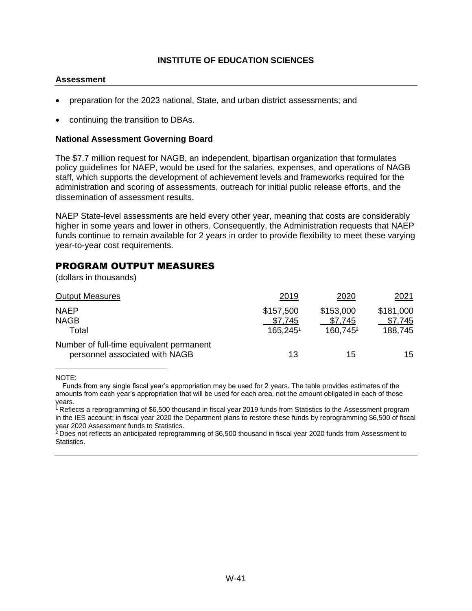#### **Assessment**

- preparation for the 2023 national, State, and urban district assessments; and
- continuing the transition to DBAs.

#### **National Assessment Governing Board**

The \$7.7 million request for NAGB, an independent, bipartisan organization that formulates policy guidelines for NAEP, would be used for the salaries, expenses, and operations of NAGB staff, which supports the development of achievement levels and frameworks required for the administration and scoring of assessments, outreach for initial public release efforts, and the dissemination of assessment results.

NAEP State-level assessments are held every other year, meaning that costs are considerably higher in some years and lower in others. Consequently, the Administration requests that NAEP funds continue to remain available for 2 years in order to provide flexibility to meet these varying year-to-year cost requirements.

### PROGRAM OUTPUT MEASURES

(dollars in thousands)

<span id="page-42-2"></span>

| <b>Output Measures</b>                                                     | 2019      | 2020                 | <u>2021</u> |
|----------------------------------------------------------------------------|-----------|----------------------|-------------|
| <b>NAEP</b>                                                                | \$157,500 | \$153,000            | \$181,000   |
| <b>NAGB</b>                                                                | \$7,745   | \$7,745              | \$7,745     |
| Total                                                                      | 165,245   | 160,745 <sup>2</sup> | 188,745     |
| Number of full-time equivalent permanent<br>personnel associated with NAGB | 13        | 15                   | 15          |
|                                                                            |           |                      |             |

NOTE:

Funds from any single fiscal year's appropriation may be used for 2 years. The table provides estimates of the amounts from each year's appropriation that will be used for each area, not the amount obligated in each of those years.

<span id="page-42-1"></span><sup>[1](#page-42-1)</sup> Reflects a reprogramming of \$6,500 thousand in fiscal year 2019 funds from Statistics to the Assessment program in the IES account; in fiscal year 2020 the Department plans to restore these funds by reprogramming \$6,500 of fiscal year 2020 Assessment funds to Statistics.

<span id="page-42-0"></span> $^{2}$  $^{2}$  $^{2}$  Does not reflects an anticipated reprogramming of \$6,500 thousand in fiscal year 2020 funds from Assessment to Statistics.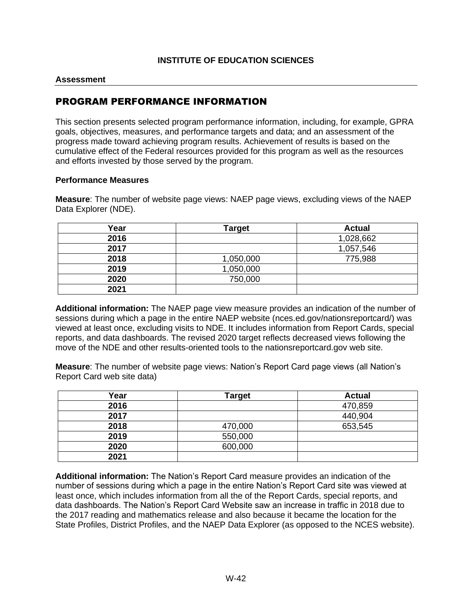#### **Assessment**

### PROGRAM PERFORMANCE INFORMATION

This section presents selected program performance information, including, for example, GPRA goals, objectives, measures, and performance targets and data; and an assessment of the progress made toward achieving program results. Achievement of results is based on the cumulative effect of the Federal resources provided for this program as well as the resources and efforts invested by those served by the program.

#### **Performance Measures**

**Measure**: The number of website page views: NAEP page views, excluding views of the NAEP Data Explorer (NDE).

| Year | <b>Target</b> | <b>Actual</b> |
|------|---------------|---------------|
| 2016 |               | 1,028,662     |
| 2017 |               | 1,057,546     |
| 2018 | 1,050,000     | 775,988       |
| 2019 | 1,050,000     |               |
| 2020 | 750,000       |               |
| 2021 |               |               |

**Additional information:** The NAEP page view measure provides an indication of the number of sessions during which a page in the entire NAEP website (nces.ed.gov/nationsreportcard/) was viewed at least once, excluding visits to NDE. It includes information from Report Cards, special reports, and data dashboards. The revised 2020 target reflects decreased views following the move of the NDE and other results-oriented tools to the nationsreportcard.gov web site.

**Measure**: The number of website page views: Nation's Report Card page views (all Nation's Report Card web site data)

| Year | Target  | <b>Actual</b> |
|------|---------|---------------|
| 2016 |         | 470,859       |
| 2017 |         | 440,904       |
| 2018 | 470,000 | 653,545       |
| 2019 | 550,000 |               |
| 2020 | 600,000 |               |
| 2021 |         |               |

**Additional information:** The Nation's Report Card measure provides an indication of the number of sessions during which a page in the entire Nation's Report Card site was viewed at least once, which includes information from all the of the Report Cards, special reports, and data dashboards. The Nation's Report Card Website saw an increase in traffic in 2018 due to the 2017 reading and mathematics release and also because it became the location for the State Profiles, District Profiles, and the NAEP Data Explorer (as opposed to the NCES website).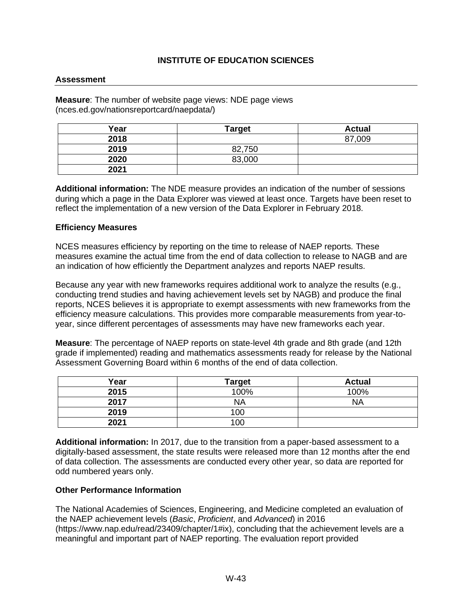#### **Assessment**

**Measure**: The number of website page views: NDE page views (nces.ed.gov/nationsreportcard/naepdata/)

| Year | <b>Target</b> | <b>Actual</b> |
|------|---------------|---------------|
| 2018 |               | 87,009        |
| 2019 | 82,750        |               |
| 2020 | 83,000        |               |
| 2021 |               |               |

**Additional information:** The NDE measure provides an indication of the number of sessions during which a page in the Data Explorer was viewed at least once. Targets have been reset to reflect the implementation of a new version of the Data Explorer in February 2018.

#### **Efficiency Measures**

NCES measures efficiency by reporting on the time to release of NAEP reports. These measures examine the actual time from the end of data collection to release to NAGB and are an indication of how efficiently the Department analyzes and reports NAEP results.

Because any year with new frameworks requires additional work to analyze the results (e.g., conducting trend studies and having achievement levels set by NAGB) and produce the final reports, NCES believes it is appropriate to exempt assessments with new frameworks from the efficiency measure calculations. This provides more comparable measurements from year-toyear, since different percentages of assessments may have new frameworks each year.

**Measure**: The percentage of NAEP reports on state-level 4th grade and 8th grade (and 12th grade if implemented) reading and mathematics assessments ready for release by the National Assessment Governing Board within 6 months of the end of data collection.

| Year | <b>Target</b> | <b>Actual</b> |
|------|---------------|---------------|
| 2015 | 100%          | 100%          |
| 2017 | <b>NA</b>     | <b>NA</b>     |
| 2019 | 100           |               |
| 2021 | 100           |               |

**Additional information:** In 2017, due to the transition from a paper-based assessment to a digitally-based assessment, the state results were released more than 12 months after the end of data collection. The assessments are conducted every other year, so data are reported for odd numbered years only.

#### **Other Performance Information**

The National Academies of Sciences, Engineering, and Medicine completed an evaluation of the NAEP achievement levels (*Basic*, *Proficient*, and *Advanced*) in 2016 [\(https://www.nap.edu/read/23409/chapter/1#ix\)](https://www.nap.edu/read/23409/chapter/1#ix), concluding that the achievement levels are a meaningful and important part of NAEP reporting. The evaluation report provided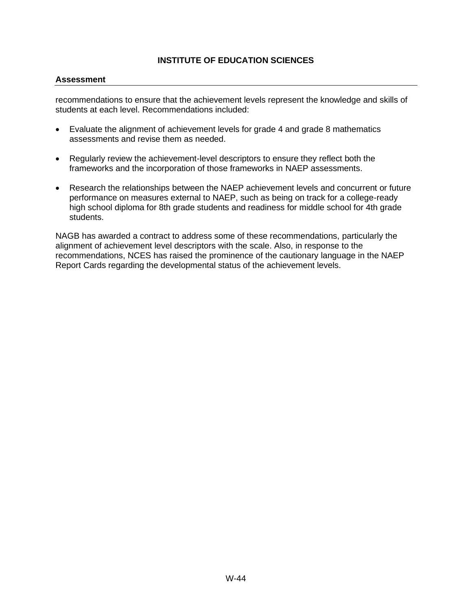#### **Assessment**

recommendations to ensure that the achievement levels represent the knowledge and skills of students at each level. Recommendations included:

- Evaluate the alignment of achievement levels for grade 4 and grade 8 mathematics assessments and revise them as needed.
- Regularly review the achievement-level descriptors to ensure they reflect both the frameworks and the incorporation of those frameworks in NAEP assessments.
- Research the relationships between the NAEP achievement levels and concurrent or future performance on measures external to NAEP, such as being on track for a college-ready high school diploma for 8th grade students and readiness for middle school for 4th grade students.

NAGB has awarded a contract to address some of these recommendations, particularly the alignment of achievement level descriptors with the scale. Also, in response to the recommendations, NCES has raised the prominence of the cautionary language in the NAEP Report Cards regarding the developmental status of the achievement levels.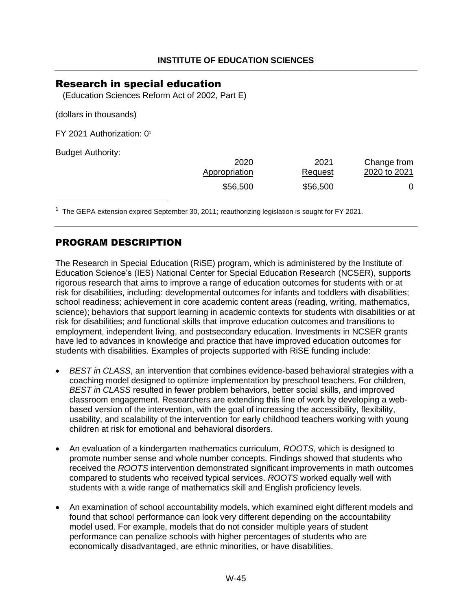### <span id="page-46-0"></span>Research in special education

(Education Sciences Reform Act of 2002, Part E)

(dollars in thousands)

FY 2021 Authorization: [0](#page-46-1)<sup>1</sup>

Budget Authority:

<span id="page-46-2"></span>

| 2020          | 2021     | Change from  |
|---------------|----------|--------------|
| Appropriation | Request  | 2020 to 2021 |
| \$56,500      | \$56,500 |              |

<span id="page-46-1"></span><sup>[1](#page-46-2)</sup> The GEPA extension expired September 30, 2011; reauthorizing legislation is sought for FY 2021.

### PROGRAM DESCRIPTION

The Research in Special Education (RiSE) program, which is administered by the Institute of Education Science's (IES) National Center for Special Education Research (NCSER), supports rigorous research that aims to improve a range of education outcomes for students with or at risk for disabilities, including: developmental outcomes for infants and toddlers with disabilities; school readiness; achievement in core academic content areas (reading, writing, mathematics, science); behaviors that support learning in academic contexts for students with disabilities or at risk for disabilities; and functional skills that improve education outcomes and transitions to employment, independent living, and postsecondary education. Investments in NCSER grants have led to advances in knowledge and practice that have improved education outcomes for students with disabilities. Examples of projects supported with RiSE funding include:

- *BEST in CLASS*, an intervention that combines evidence-based behavioral strategies with a coaching model designed to optimize implementation by preschool teachers. For children, *BEST in CLASS* resulted in fewer problem behaviors, better social skills, and improved classroom engagement. Researchers are extending this line of work by developing a webbased version of the intervention, with the goal of increasing the accessibility, flexibility, usability, and scalability of the intervention for early childhood teachers working with young children at risk for emotional and behavioral disorders.
- An evaluation of a kindergarten mathematics curriculum, *ROOTS*, which is designed to promote number sense and whole number concepts. Findings showed that students who received the *ROOTS* intervention demonstrated significant improvements in math outcomes compared to students who received typical services. *ROOTS* worked equally well with students with a wide range of mathematics skill and English proficiency levels.
- An examination of school accountability models, which examined eight different models and found that school performance can look very different depending on the accountability model used. For example, models that do not consider multiple years of student performance can penalize schools with higher percentages of students who are economically disadvantaged, are ethnic minorities, or have disabilities.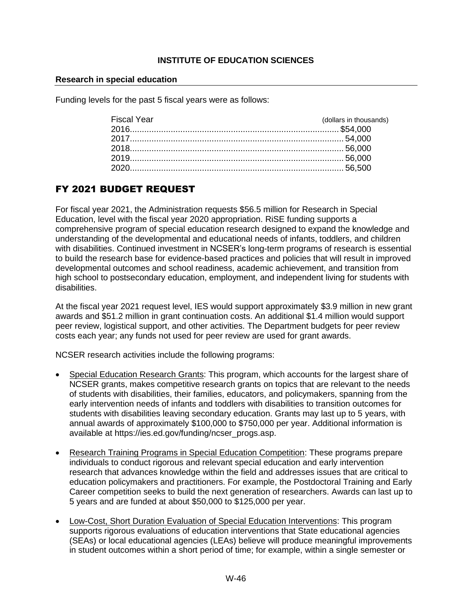#### **Research in special education**

Funding levels for the past 5 fiscal years were as follows:

| (dollars in thousands) |
|------------------------|
|                        |
|                        |
|                        |
|                        |
|                        |
|                        |

# FY 2021 BUDGET REQUEST

For fiscal year 2021, the Administration requests \$56.5 million for Research in Special Education, level with the fiscal year 2020 appropriation. RiSE funding supports a comprehensive program of special education research designed to expand the knowledge and understanding of the developmental and educational needs of infants, toddlers, and children with disabilities. Continued investment in NCSER's long-term programs of research is essential to build the research base for evidence-based practices and policies that will result in improved developmental outcomes and school readiness, academic achievement, and transition from high school to postsecondary education, employment, and independent living for students with disabilities.

At the fiscal year 2021 request level, IES would support approximately \$3.9 million in new grant awards and \$51.2 million in grant continuation costs. An additional \$1.4 million would support peer review, logistical support, and other activities. The Department budgets for peer review costs each year; any funds not used for peer review are used for grant awards.

NCSER research activities include the following programs:

- Special Education Research Grants: This program, which accounts for the largest share of NCSER grants, makes competitive research grants on topics that are relevant to the needs of students with disabilities, their families, educators, and policymakers, spanning from the early intervention needs of infants and toddlers with disabilities to transition outcomes for students with disabilities leaving secondary education. Grants may last up to 5 years, with annual awards of approximately \$100,000 to \$750,000 per year. Additional information is available at https://ies.ed.gov/funding/ncser\_progs.asp.
- Research Training Programs in Special Education Competition: These programs prepare individuals to conduct rigorous and relevant special education and early intervention research that advances knowledge within the field and addresses issues that are critical to education policymakers and practitioners. For example, the Postdoctoral Training and Early Career competition seeks to build the next generation of researchers. Awards can last up to 5 years and are funded at about \$50,000 to \$125,000 per year.
- Low-Cost, Short Duration Evaluation of Special Education Interventions: This program supports rigorous evaluations of education interventions that State educational agencies (SEAs) or local educational agencies (LEAs) believe will produce meaningful improvements in student outcomes within a short period of time; for example, within a single semester or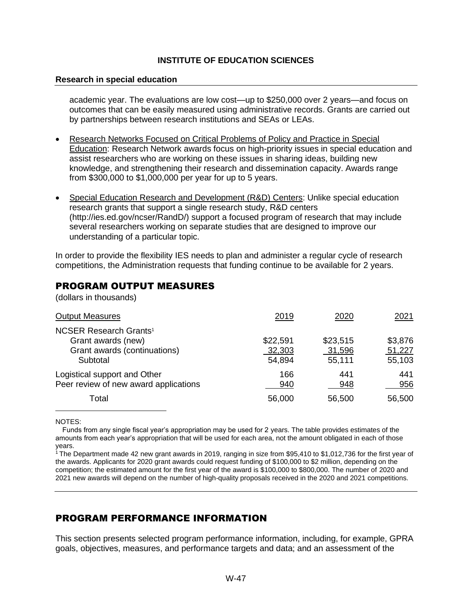#### **Research in special education**

academic year. The evaluations are low cost—up to \$250,000 over 2 years—and focus on outcomes that can be easily measured using administrative records. Grants are carried out by partnerships between research institutions and SEAs or LEAs.

- Research Networks Focused on Critical Problems of Policy and Practice in Special Education: Research Network awards focus on high-priority issues in special education and assist researchers who are working on these issues in sharing ideas, building new knowledge, and strengthening their research and dissemination capacity. Awards range from \$300,000 to \$1,000,000 per year for up to 5 years.
- Special Education Research and Development (R&D) Centers: Unlike special education research grants that support a single research study, R&D centers [\(http://ies.ed.gov/ncser/RandD/\)](http://ies.ed.gov/ncser/RandD/)) support a focused program of research that may include several researchers working on separate studies that are designed to improve our understanding of a particular topic.

In order to provide the flexibility IES needs to plan and administer a regular cycle of research competitions, the Administration requests that funding continue to be available for 2 years.

### PROGRAM OUTPUT MEASURES

(dollars in thousands)

| <b>Output Measures</b>                                                                                     | 2019                         | 2020                         | 2021                        |
|------------------------------------------------------------------------------------------------------------|------------------------------|------------------------------|-----------------------------|
| <b>NCSER Research Grants<sup>1</sup></b><br>Grant awards (new)<br>Grant awards (continuations)<br>Subtotal | \$22,591<br>32,303<br>54,894 | \$23,515<br>31,596<br>55,111 | \$3,876<br>51,227<br>55,103 |
| Logistical support and Other<br>Peer review of new award applications                                      | 166<br>940                   | 441<br>948                   | 441<br>956                  |
| Total                                                                                                      | 56,000                       | 56,500                       | 56,500                      |

NOTES:

Funds from any single fiscal year's appropriation may be used for 2 years. The table provides estimates of the amounts from each year's appropriation that will be used for each area, not the amount obligated in each of those years.

<sup>1</sup> The Department made 42 new grant awards in 2019, ranging in size from \$95,410 to \$1,012,736 for the first year of the awards. Applicants for 2020 grant awards could request funding of \$100,000 to \$2 million, depending on the competition; the estimated amount for the first year of the award is \$100,000 to \$800,000. The number of 2020 and 2021 new awards will depend on the number of high-quality proposals received in the 2020 and 2021 competitions.

### PROGRAM PERFORMANCE INFORMATION

This section presents selected program performance information, including, for example, GPRA goals, objectives, measures, and performance targets and data; and an assessment of the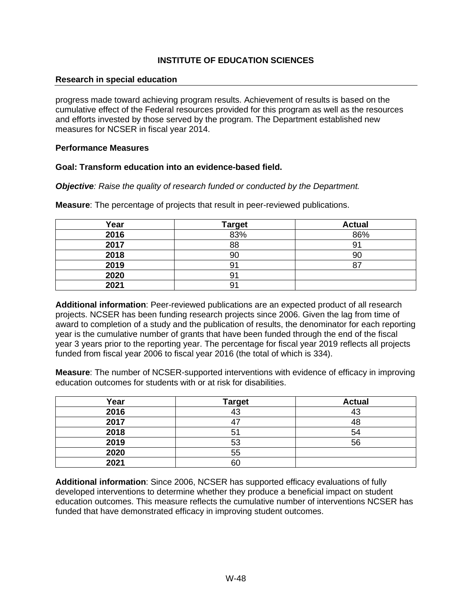#### **Research in special education**

progress made toward achieving program results. Achievement of results is based on the cumulative effect of the Federal resources provided for this program as well as the resources and efforts invested by those served by the program. The Department established new measures for NCSER in fiscal year 2014.

#### **Performance Measures**

#### **Goal: Transform education into an evidence-based field.**

*Objective: Raise the quality of research funded or conducted by the Department.*

|  |  |  |  |  |  |  |  |  | <b>Measure:</b> The percentage of projects that result in peer-reviewed publications. |
|--|--|--|--|--|--|--|--|--|---------------------------------------------------------------------------------------|
|--|--|--|--|--|--|--|--|--|---------------------------------------------------------------------------------------|

| Year | <b>Target</b> | <b>Actual</b> |
|------|---------------|---------------|
| 2016 | 83%           | 86%           |
| 2017 | 88            | 91            |
| 2018 | 90            | 90            |
| 2019 | 9             | o             |
| 2020 | 91            |               |
| 2021 | 91            |               |

**Additional information**: Peer-reviewed publications are an expected product of all research projects. NCSER has been funding research projects since 2006. Given the lag from time of award to completion of a study and the publication of results, the denominator for each reporting year is the cumulative number of grants that have been funded through the end of the fiscal year 3 years prior to the reporting year. The percentage for fiscal year 2019 reflects all projects funded from fiscal year 2006 to fiscal year 2016 (the total of which is 334).

**Measure**: The number of NCSER-supported interventions with evidence of efficacy in improving education outcomes for students with or at risk for disabilities.

| Year | <b>Target</b> | <b>Actual</b> |
|------|---------------|---------------|
| 2016 | $\sim$        | 43            |
| 2017 |               | 48            |
| 2018 |               | 54            |
| 2019 | 53            | 56            |
| 2020 | 55            |               |
| 2021 | 60            |               |

**Additional information**: Since 2006, NCSER has supported efficacy evaluations of fully developed interventions to determine whether they produce a beneficial impact on student education outcomes. This measure reflects the cumulative number of interventions NCSER has funded that have demonstrated efficacy in improving student outcomes.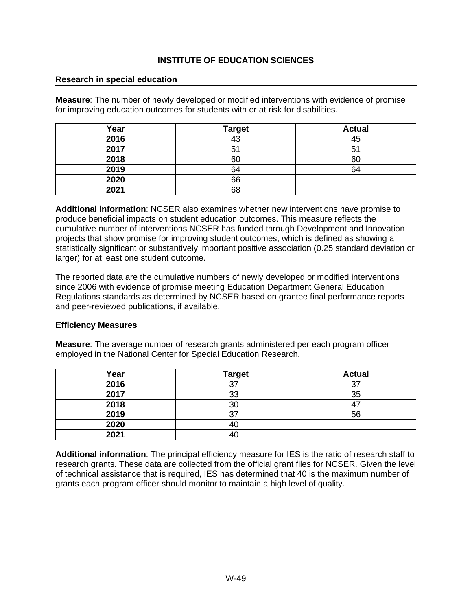#### **Research in special education**

**Measure**: The number of newly developed or modified interventions with evidence of promise for improving education outcomes for students with or at risk for disabilities.

| Year | <b>Target</b> | <b>Actual</b> |
|------|---------------|---------------|
| 2016 | 1 ຕ           | 45            |
| 2017 | $5^{\circ}$   | $5^{\prime}$  |
| 2018 | 60            | 60            |
| 2019 | 64            | 64            |
| 2020 | 66            |               |
| 2021 | 68            |               |

**Additional information**: NCSER also examines whether new interventions have promise to produce beneficial impacts on student education outcomes. This measure reflects the cumulative number of interventions NCSER has funded through Development and Innovation projects that show promise for improving student outcomes, which is defined as showing a statistically significant or substantively important positive association (0.25 standard deviation or larger) for at least one student outcome.

The reported data are the cumulative numbers of newly developed or modified interventions since 2006 with evidence of promise meeting Education Department General Education Regulations standards as determined by NCSER based on grantee final performance reports and peer-reviewed publications, if available.

#### **Efficiency Measures**

**Measure**: The average number of research grants administered per each program officer employed in the National Center for Special Education Research.

| Year | <b>Target</b> | <b>Actual</b> |
|------|---------------|---------------|
| 2016 | っっ            | 37            |
| 2017 | 33            | 35            |
| 2018 | 30            |               |
| 2019 | າ             | 56            |
| 2020 | 4(            |               |
| 2021 | -40           |               |

**Additional information**: The principal efficiency measure for IES is the ratio of research staff to research grants. These data are collected from the official grant files for NCSER. Given the level of technical assistance that is required, IES has determined that 40 is the maximum number of grants each program officer should monitor to maintain a high level of quality.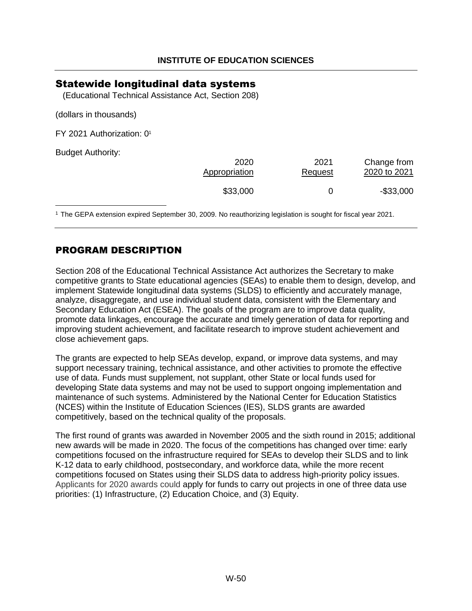### <span id="page-51-0"></span>Statewide longitudinal data systems

<span id="page-51-2"></span>(Educational Technical Assistance Act, Section 208)

(dollars in thousands)

FY 2021 Authorization: [0](#page-51-1)<sup>1</sup>

Budget Authority:

| 2020          | 2021    | Change from  |
|---------------|---------|--------------|
| Appropriation | Request | 2020 to 2021 |
| \$33,000      |         | $-$ \$33,000 |

<span id="page-51-1"></span>[1](#page-51-2) The GEPA extension expired September 30, 2009. No reauthorizing legislation is sought for fiscal year 2021.

### PROGRAM DESCRIPTION

Section 208 of the Educational Technical Assistance Act authorizes the Secretary to make competitive grants to State educational agencies (SEAs) to enable them to design, develop, and implement Statewide longitudinal data systems (SLDS) to efficiently and accurately manage, analyze, disaggregate, and use individual student data, consistent with the Elementary and Secondary Education Act (ESEA). The goals of the program are to improve data quality, promote data linkages, encourage the accurate and timely generation of data for reporting and improving student achievement, and facilitate research to improve student achievement and close achievement gaps.

The grants are expected to help SEAs develop, expand, or improve data systems, and may support necessary training, technical assistance, and other activities to promote the effective use of data. Funds must supplement, not supplant, other State or local funds used for developing State data systems and may not be used to support ongoing implementation and maintenance of such systems. Administered by the National Center for Education Statistics (NCES) within the Institute of Education Sciences (IES), SLDS grants are awarded competitively, based on the technical quality of the proposals.

The first round of grants was awarded in November 2005 and the sixth round in 2015; additional new awards will be made in 2020. The focus of the competitions has changed over time: early competitions focused on the infrastructure required for SEAs to develop their SLDS and to link K-12 data to early childhood, postsecondary, and workforce data, while the more recent competitions focused on States using their SLDS data to address high-priority policy issues. Applicants for 2020 awards could apply for funds to carry out projects in one of three data use priorities: (1) Infrastructure, (2) Education Choice, and (3) Equity.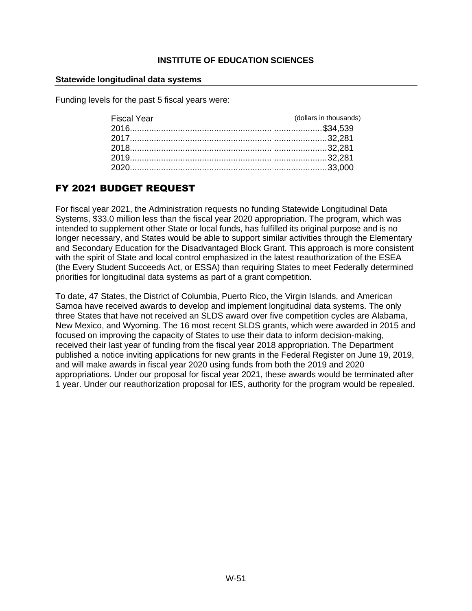#### **Statewide longitudinal data systems**

Funding levels for the past 5 fiscal years were:

| <b>Fiscal Year</b> | (dollars in thousands) |
|--------------------|------------------------|
|                    |                        |
|                    |                        |
|                    |                        |
|                    |                        |
|                    |                        |

# FY 2021 BUDGET REQUEST

For fiscal year 2021, the Administration requests no funding Statewide Longitudinal Data Systems, \$33.0 million less than the fiscal year 2020 appropriation. The program, which was intended to supplement other State or local funds, has fulfilled its original purpose and is no longer necessary, and States would be able to support similar activities through the Elementary and Secondary Education for the Disadvantaged Block Grant. This approach is more consistent with the spirit of State and local control emphasized in the latest reauthorization of the ESEA (the Every Student Succeeds Act, or ESSA) than requiring States to meet Federally determined priorities for longitudinal data systems as part of a grant competition.

To date, 47 States, the District of Columbia, Puerto Rico, the Virgin Islands, and American Samoa have received awards to develop and implement longitudinal data systems. The only three States that have not received an SLDS award over five competition cycles are Alabama, New Mexico, and Wyoming. The 16 most recent SLDS grants, which were awarded in 2015 and focused on improving the capacity of States to use their data to inform decision-making, received their last year of funding from the fiscal year 2018 appropriation. The Department published a notice inviting applications for new grants in the Federal Register on June 19, 2019, and will make awards in fiscal year 2020 using funds from both the 2019 and 2020 appropriations. Under our proposal for fiscal year 2021, these awards would be terminated after 1 year. Under our reauthorization proposal for IES, authority for the program would be repealed.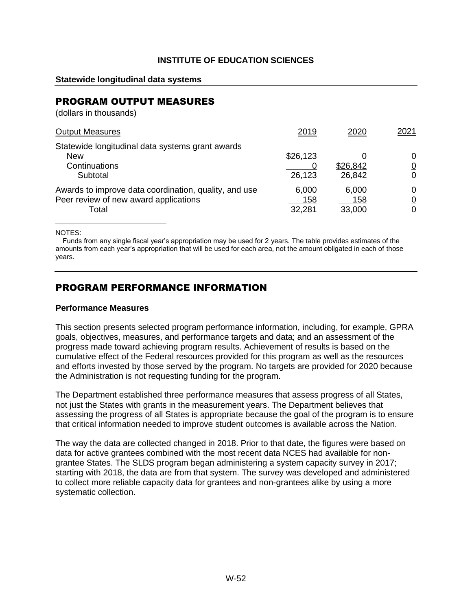#### **Statewide longitudinal data systems**

### PROGRAM OUTPUT MEASURES

(dollars in thousands)

| <b>Output Measures</b>                                                                                  | 2019                   | 2020                   | 2021                     |
|---------------------------------------------------------------------------------------------------------|------------------------|------------------------|--------------------------|
| Statewide longitudinal data systems grant awards<br><b>New</b><br>Continuations<br>Subtotal             | \$26,123<br>26,123     | \$26,842<br>26,842     | 0<br>$\overline{0}$<br>0 |
| Awards to improve data coordination, quality, and use<br>Peer review of new award applications<br>Total | 6,000<br>158<br>32,281 | 6,000<br>158<br>33,000 | 0<br>$\overline{0}$<br>0 |

NOTES:

Funds from any single fiscal year's appropriation may be used for 2 years. The table provides estimates of the amounts from each year's appropriation that will be used for each area, not the amount obligated in each of those years.

### PROGRAM PERFORMANCE INFORMATION

#### **Performance Measures**

This section presents selected program performance information, including, for example, GPRA goals, objectives, measures, and performance targets and data; and an assessment of the progress made toward achieving program results. Achievement of results is based on the cumulative effect of the Federal resources provided for this program as well as the resources and efforts invested by those served by the program. No targets are provided for 2020 because the Administration is not requesting funding for the program.

The Department established three performance measures that assess progress of all States, not just the States with grants in the measurement years. The Department believes that assessing the progress of all States is appropriate because the goal of the program is to ensure that critical information needed to improve student outcomes is available across the Nation.

The way the data are collected changed in 2018. Prior to that date, the figures were based on data for active grantees combined with the most recent data NCES had available for nongrantee States. The SLDS program began administering a system capacity survey in 2017; starting with 2018, the data are from that system. The survey was developed and administered to collect more reliable capacity data for grantees and non-grantees alike by using a more systematic collection.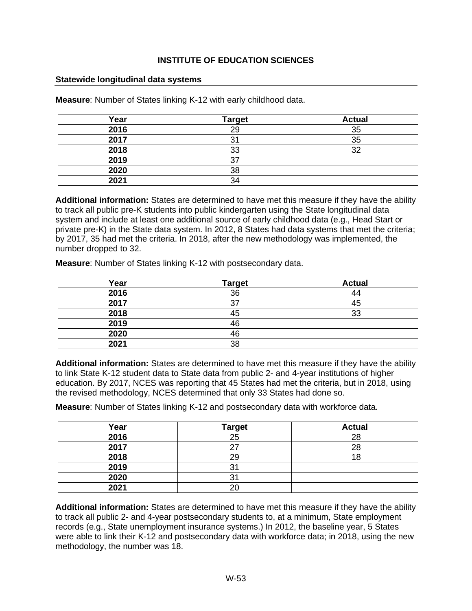#### **Statewide longitudinal data systems**

| Year | <b>Target</b> | <b>Actual</b> |
|------|---------------|---------------|
| 2016 | ററ            | 35            |
| 2017 |               | 35            |
| 2018 | 33            | 32            |
| 2019 |               |               |
| 2020 | 38            |               |
| 2021 |               |               |

**Measure**: Number of States linking K-12 with early childhood data.

**Additional information:** States are determined to have met this measure if they have the ability to track all public pre-K students into public kindergarten using the State longitudinal data system and include at least one additional source of early childhood data (e.g., Head Start or private pre-K) in the State data system. In 2012, 8 States had data systems that met the criteria; by 2017, 35 had met the criteria. In 2018, after the new methodology was implemented, the number dropped to 32.

**Measure**: Number of States linking K-12 with postsecondary data.

| Year | <b>Target</b> | <b>Actual</b> |
|------|---------------|---------------|
| 2016 | 36            | 44            |
| 2017 | ว             | 45            |
| 2018 | 45            | 33            |
| 2019 | 46            |               |
| 2020 | 46            |               |
| 2021 | 38            |               |

**Additional information:** States are determined to have met this measure if they have the ability to link State K-12 student data to State data from public 2- and 4-year institutions of higher education. By 2017, NCES was reporting that 45 States had met the criteria, but in 2018, using the revised methodology, NCES determined that only 33 States had done so.

**Measure**: Number of States linking K-12 and postsecondary data with workforce data.

| Year | <b>Target</b>  | <b>Actual</b> |
|------|----------------|---------------|
| 2016 | 25             | 28            |
| 2017 | ־י             | 28            |
| 2018 | 29             | Ω             |
| 2019 | 3 <sub>1</sub> |               |
| 2020 | 3              |               |
| 2021 | 20             |               |

**Additional information:** States are determined to have met this measure if they have the ability to track all public 2- and 4-year postsecondary students to, at a minimum, State employment records (e.g., State unemployment insurance systems.) In 2012, the baseline year, 5 States were able to link their K-12 and postsecondary data with workforce data; in 2018, using the new methodology, the number was 18.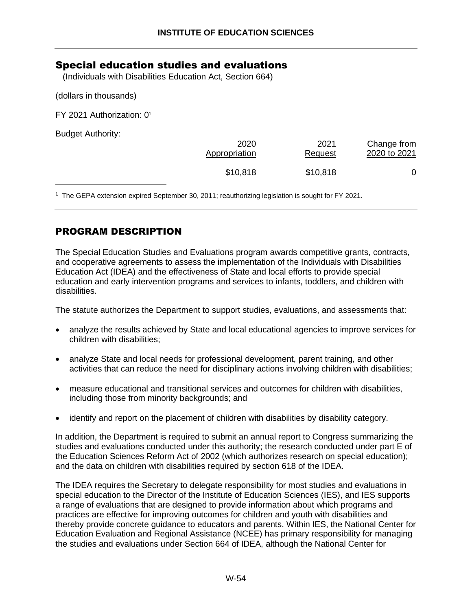### <span id="page-55-0"></span>Special education studies and evaluations

(Individuals with Disabilities Education Act, Section 664)

(dollars in thousands)

FY 2021 Authorization: [0](#page-55-1)<sup>1</sup>

Budget Authority:

<span id="page-55-2"></span>

| 2020          | 2021           | Change from  |
|---------------|----------------|--------------|
| Appropriation | <b>Request</b> | 2020 to 2021 |
| \$10,818      | \$10,818       |              |

<span id="page-55-1"></span>1 The GEPA extension expired September 30, 2011; reauthorizing legislation is sought for FY 2021.

### PROGRAM DESCRIPTION

The Special Education Studies and Evaluations program awards competitive grants, contracts, and cooperative agreements to assess the implementation of the Individuals with Disabilities Education Act (IDEA) and the effectiveness of State and local efforts to provide special education and early intervention programs and services to infants, toddlers, and children with disabilities.

The statute authorizes the Department to support studies, evaluations, and assessments that:

- analyze the results achieved by State and local educational agencies to improve services for children with disabilities;
- analyze State and local needs for professional development, parent training, and other activities that can reduce the need for disciplinary actions involving children with disabilities;
- measure educational and transitional services and outcomes for children with disabilities, including those from minority backgrounds; and
- identify and report on the placement of children with disabilities by disability category.

In addition, the Department is required to submit an annual report to Congress summarizing the studies and evaluations conducted under this authority; the research conducted under part E of the Education Sciences Reform Act of 2002 (which authorizes research on special education); and the data on children with disabilities required by section 618 of the IDEA.

The IDEA requires the Secretary to delegate responsibility for most studies and evaluations in special education to the Director of the Institute of Education Sciences (IES), and IES supports a range of evaluations that are designed to provide information about which programs and practices are effective for improving outcomes for children and youth with disabilities and thereby provide concrete guidance to educators and parents. Within IES, the National Center for Education Evaluation and Regional Assistance (NCEE) has primary responsibility for managing the studies and evaluations under Section 664 of IDEA, although the National Center for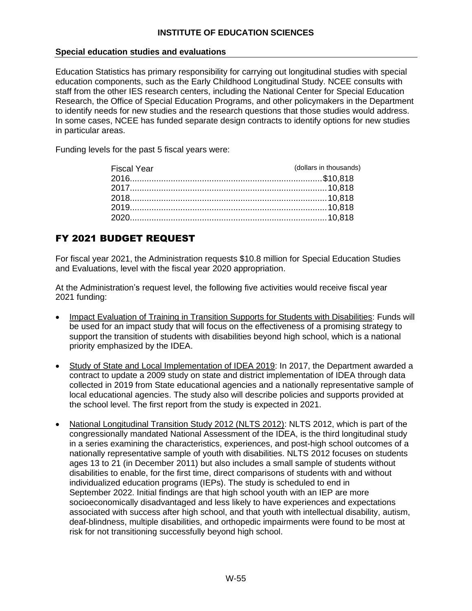#### **Special education studies and evaluations**

Education Statistics has primary responsibility for carrying out longitudinal studies with special education components, such as the Early Childhood Longitudinal Study. NCEE consults with staff from the other IES research centers, including the National Center for Special Education Research, the Office of Special Education Programs, and other policymakers in the Department to identify needs for new studies and the research questions that those studies would address. In some cases, NCEE has funded separate design contracts to identify options for new studies in particular areas.

Funding levels for the past 5 fiscal years were:

| <b>Fiscal Year</b> | (dollars in thousands) |
|--------------------|------------------------|
|                    |                        |
|                    |                        |
|                    |                        |
|                    |                        |
|                    |                        |
|                    |                        |

### FY 2021 BUDGET REQUEST

For fiscal year 2021, the Administration requests \$10.8 million for Special Education Studies and Evaluations, level with the fiscal year 2020 appropriation.

At the Administration's request level, the following five activities would receive fiscal year 2021 funding:

- Impact Evaluation of Training in Transition Supports for Students with Disabilities: Funds will be used for an impact study that will focus on the effectiveness of a promising strategy to support the transition of students with disabilities beyond high school, which is a national priority emphasized by the IDEA.
- Study of State and Local Implementation of IDEA 2019: In 2017, the Department awarded a contract to update a 2009 study on state and district implementation of IDEA through data collected in 2019 from State educational agencies and a nationally representative sample of local educational agencies. The study also will describe policies and supports provided at the school level. The first report from the study is expected in 2021.
- National Longitudinal Transition Study 2012 (NLTS 2012): NLTS 2012, which is part of the congressionally mandated National Assessment of the IDEA, is the third longitudinal study in a series examining the characteristics, experiences, and post-high school outcomes of a nationally representative sample of youth with disabilities. NLTS 2012 focuses on students ages 13 to 21 (in December 2011) but also includes a small sample of students without disabilities to enable, for the first time, direct comparisons of students with and without individualized education programs (IEPs). The study is scheduled to end in September 2022. Initial findings are that high school youth with an IEP are more socioeconomically disadvantaged and less likely to have experiences and expectations associated with success after high school, and that youth with intellectual disability, autism, deaf-blindness, multiple disabilities, and orthopedic impairments were found to be most at risk for not transitioning successfully beyond high school.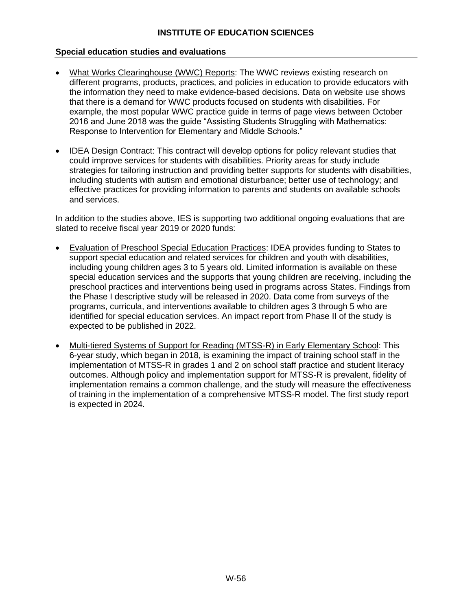#### **Special education studies and evaluations**

- What Works Clearinghouse (WWC) Reports: The WWC reviews existing research on different programs, products, practices, and policies in education to provide educators with the information they need to make evidence-based decisions. Data on website use shows that there is a demand for WWC products focused on students with disabilities. For example, the most popular WWC practice guide in terms of page views between October 2016 and June 2018 was the guide "Assisting Students Struggling with Mathematics: Response to Intervention for Elementary and Middle Schools."
- IDEA Design Contract: This contract will develop options for policy relevant studies that could improve services for students with disabilities. Priority areas for study include strategies for tailoring instruction and providing better supports for students with disabilities, including students with autism and emotional disturbance; better use of technology; and effective practices for providing information to parents and students on available schools and services.

In addition to the studies above, IES is supporting two additional ongoing evaluations that are slated to receive fiscal year 2019 or 2020 funds:

- Evaluation of Preschool Special Education Practices: IDEA provides funding to States to support special education and related services for children and youth with disabilities, including young children ages 3 to 5 years old. Limited information is available on these special education services and the supports that young children are receiving, including the preschool practices and interventions being used in programs across States. Findings from the Phase I descriptive study will be released in 2020. Data come from surveys of the programs, curricula, and interventions available to children ages 3 through 5 who are identified for special education services. An impact report from Phase II of the study is expected to be published in 2022.
- Multi-tiered Systems of Support for Reading (MTSS-R) in Early Elementary School: This 6-year study, which began in 2018, is examining the impact of training school staff in the implementation of MTSS-R in grades 1 and 2 on school staff practice and student literacy outcomes. Although policy and implementation support for MTSS-R is prevalent, fidelity of implementation remains a common challenge, and the study will measure the effectiveness of training in the implementation of a comprehensive MTSS-R model. The first study report is expected in 2024.